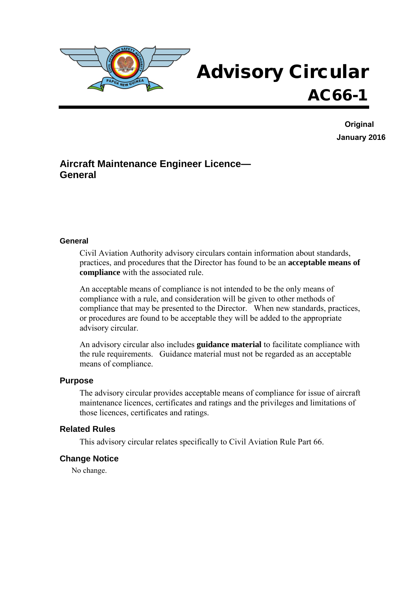

# Advisory Circular AC66-1

**Original January 2016**

## **Aircraft Maintenance Engineer Licence— General**

#### **General**

Civil Aviation Authority advisory circulars contain information about standards, practices, and procedures that the Director has found to be an **acceptable means of compliance** with the associated rule.

An acceptable means of compliance is not intended to be the only means of compliance with a rule, and consideration will be given to other methods of compliance that may be presented to the Director. When new standards, practices, or procedures are found to be acceptable they will be added to the appropriate advisory circular.

An advisory circular also includes **guidance material** to facilitate compliance with the rule requirements. Guidance material must not be regarded as an acceptable means of compliance.

#### **Purpose**

The advisory circular provides acceptable means of compliance for issue of aircraft maintenance licences, certificates and ratings and the privileges and limitations of those licences, certificates and ratings.

#### **Related Rules**

This advisory circular relates specifically to Civil Aviation Rule Part 66.

#### **Change Notice**

No change.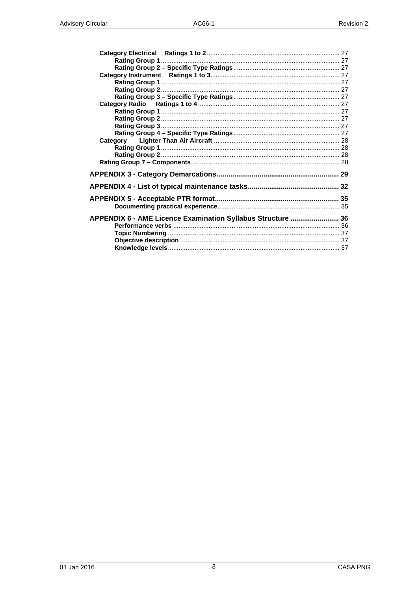| APPENDIX 6 - AME Licence Examination Syllabus Structure  36 |  |
|-------------------------------------------------------------|--|
|                                                             |  |
|                                                             |  |
|                                                             |  |
|                                                             |  |
|                                                             |  |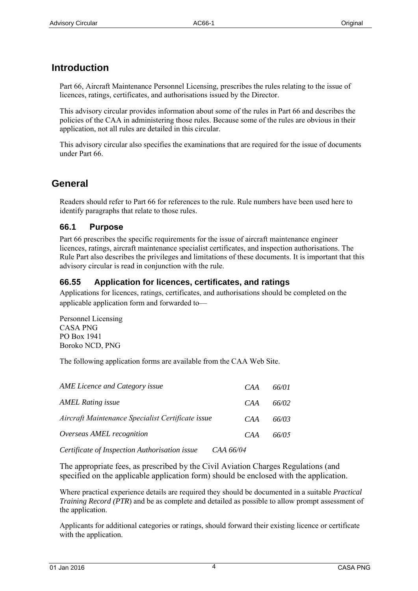## **Introduction**

Part 66, Aircraft Maintenance Personnel Licensing, prescribes the rules relating to the issue of licences, ratings, certificates, and authorisations issued by the Director.

This advisory circular provides information about some of the rules in Part 66 and describes the policies of the CAA in administering those rules. Because some of the rules are obvious in their application, not all rules are detailed in this circular.

This advisory circular also specifies the examinations that are required for the issue of documents under Part 66.

## **General**

Readers should refer to Part 66 for references to the rule. Rule numbers have been used here to identify paragraphs that relate to those rules.

## **66.1 Purpose**

Part 66 prescribes the specific requirements for the issue of aircraft maintenance engineer licences, ratings, aircraft maintenance specialist certificates, and inspection authorisations. The Rule Part also describes the privileges and limitations of these documents. It is important that this advisory circular is read in conjunction with the rule.

## **66.55 Application for licences, certificates, and ratings**

Applications for licences, ratings, certificates, and authorisations should be completed on the applicable application form and forwarded to—

Personnel Licensing CASA PNG PO Box 1941 Boroko NCD, PNG

The following application [forms are available](http://www.caa.govt.nz/) from the CAA Web Site.

| AME Licence and Category issue                    | CAA | 66/01 |
|---------------------------------------------------|-----|-------|
| <b>AMEL Rating issue</b>                          | CAA | 66/02 |
| Aircraft Maintenance Specialist Certificate issue | CAA | 66/03 |
| Overseas AMEL recognition                         | CAA | 66/05 |
| .                                                 |     |       |

*Certificate of Inspection Authorisation issue CAA 66/04*

The appropriate fees, as prescribed by the Civil Aviation Charges Regulations (and specified on the applicable application form) should be enclosed with the application.

Where practical experience details are required they should be documented in a suitable *Practical Training Record (PTR*) and be as complete and detailed as possible to allow prompt assessment of the application.

Applicants for additional categories or ratings, should forward their existing licence or certificate with the application.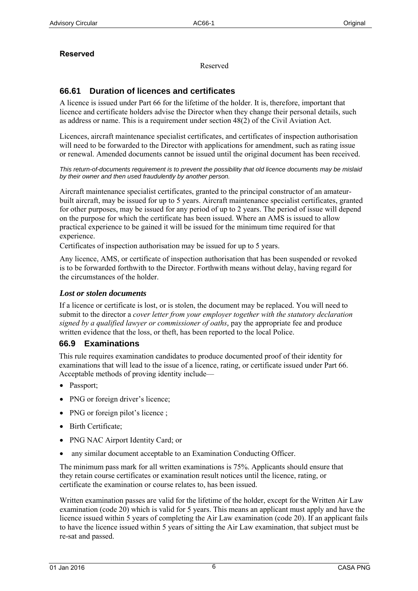## **Reserved**

Reserved

## **66.61 Duration of licences and certificates**

A licence is issued under Part 66 for the lifetime of the holder. It is, therefore, important that licence and certificate holders advise the Director when they change their personal details, such as address or name. This is a requirement under section 48(2) of the Civil Aviation Act.

Licences, aircraft maintenance specialist certificates, and certificates of inspection authorisation will need to be forwarded to the Director with applications for amendment, such as rating issue or renewal. Amended documents cannot be issued until the original document has been received.

*This return-of-documents requirement is to prevent the possibility that old licence documents may be mislaid by their owner and then used fraudulently by another person.* 

Aircraft maintenance specialist certificates, granted to the principal constructor of an amateurbuilt aircraft, may be issued for up to 5 years. Aircraft maintenance specialist certificates, granted for other purposes, may be issued for any period of up to 2 years. The period of issue will depend on the purpose for which the certificate has been issued. Where an AMS is issued to allow practical experience to be gained it will be issued for the minimum time required for that experience.

Certificates of inspection authorisation may be issued for up to 5 years.

Any licence, AMS, or certificate of inspection authorisation that has been suspended or revoked is to be forwarded forthwith to the Director. Forthwith means without delay, having regard for the circumstances of the holder.

#### *Lost or stolen documents*

If a licence or certificate is lost, or is stolen, the document may be replaced. You will need to submit to the director a *cover letter from your employer together with the statutory declaration signed by a qualified lawyer or commissioner of oaths,* pay the appropriate fee and produce written evidence that the loss, or theft, has been reported to the local Police.

## **66.9 Examinations**

This rule requires examination candidates to produce documented proof of their identity for examinations that will lead to the issue of a licence, rating, or certificate issued under Part 66. Acceptable methods of proving identity include—

- Passport;
- PNG or foreign driver's licence;
- PNG or foreign pilot's licence;
- Birth Certificate;
- PNG NAC Airport Identity Card; or
- any similar document acceptable to an Examination Conducting Officer.

The minimum pass mark for all written examinations is 75%. Applicants should ensure that they retain course certificates or examination result notices until the licence, rating, or certificate the examination or course relates to, has been issued.

Written examination passes are valid for the lifetime of the holder, except for the Written Air Law examination (code 20) which is valid for 5 years. This means an applicant must apply and have the licence issued within 5 years of completing the Air Law examination (code 20). If an applicant fails to have the licence issued within 5 years of sitting the Air Law examination, that subject must be re-sat and passed.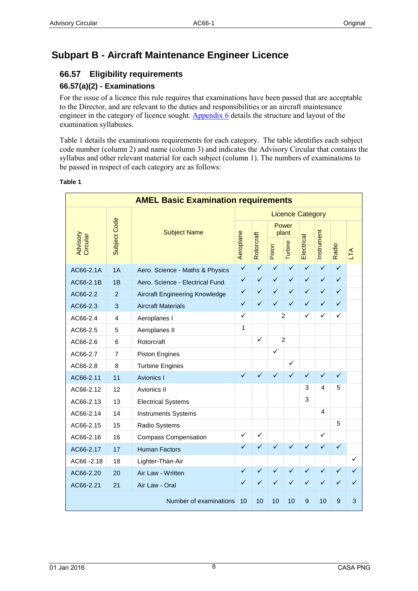## **Subpart B - Aircraft Maintenance Engineer Licence**

## **66.57 Eligibility requirements**

## **66.57(a)(2) - Examinations**

For the issue of a licence this rule requires that examinations have been passed that are acceptable to the Director, and are relevant to the duties and responsibilities or an aircraft maintenance engineer in the category of licence sought. [Appendix 6](#page-34-0) details the structure and layout of the examination syllabuses.

[Table 1](#page-7-0) details the examinations requirements for each category. The table identifies each subject code number (column 2) and name (column 3) and indicates the Advisory Circular that contains the syllabus and other relevant material for each subject (column 1). The numbers of examinations to be passed in respect of each category are as follows:

| <b>AMEL Basic Examination requirements</b> |                     |                                  |              |              |              |                           |              |              |              |                |
|--------------------------------------------|---------------------|----------------------------------|--------------|--------------|--------------|---------------------------|--------------|--------------|--------------|----------------|
| <b>Licence Category</b>                    |                     |                                  |              |              |              |                           |              |              |              |                |
| Advisory<br>Circular                       | <b>Subject Code</b> | <b>Subject Name</b>              | Aeroplane    | Rotorcraft   | Piston       | Power<br>plant<br>Turbine | Electrical   | Instrument   | Radio        | LTA            |
| AC66-2.1A                                  | 1A                  | Aero. Science - Maths & Physics  | $\checkmark$ | $\checkmark$ | $\checkmark$ | $\checkmark$              | $\checkmark$ | $\checkmark$ | $\checkmark$ |                |
| AC66-2.1B                                  | 1B                  | Aero, Science - Electrical Fund. | ✓            | ✓            | $\checkmark$ | $\checkmark$              | $\checkmark$ | ✓            | ✓            |                |
| AC66-2.2                                   | 2                   | Aircraft Engineering Knowledge   | $\checkmark$ | ✓            | ✓            | $\checkmark$              | $\checkmark$ | $\checkmark$ | ✓            |                |
| AC66-2.3                                   | 3                   | <b>Aircraft Materials</b>        | ✓            | ✓            | ✓            | ✓                         | $\checkmark$ | ✓            | ✓            |                |
| AC66-2.4                                   | 4                   | Aeroplanes I                     | ✓            |              |              | 2                         | ✓            | ✓            | ✓            |                |
| AC66-2.5                                   | 5                   | Aeroplanes II                    | 1            |              |              |                           |              |              |              |                |
| AC66-2.6                                   | 6                   | Rotorcraft                       |              | $\checkmark$ |              | $\overline{2}$            |              |              |              |                |
| AC66-2.7                                   | 7                   | Piston Engines                   |              |              | $\checkmark$ |                           |              |              |              |                |
| AC66-2.8                                   | 8                   | <b>Turbine Engines</b>           |              |              |              | ✓                         |              |              |              |                |
| AC66-2.11                                  | 11                  | Avionics I                       | ✓            | ✓            | ✓            | ✓                         | ✓            | ✓            | ✓            |                |
| AC66-2.12                                  | 12                  | Avionics II                      |              |              |              |                           | 3            | 4            | 5            |                |
| AC66-2.13                                  | 13                  | <b>Electrical Systems</b>        |              |              |              |                           | 3            |              |              |                |
| AC66-2.14                                  | 14                  | <b>Instruments Systems</b>       |              |              |              |                           |              | 4            |              |                |
| AC66-2.15                                  | 15                  | Radio Systems                    |              |              |              |                           |              |              | 5            |                |
| AC66-2.16                                  | 16                  | <b>Compass Compensation</b>      | ✓            | ✓            |              |                           |              | ✓            |              |                |
| AC66-2.17                                  | 17                  | <b>Human Factors</b>             | ✓            | ✓            | ✓            | $\checkmark$              | $\checkmark$ | $\checkmark$ | ✓            |                |
| AC66-2.18                                  | 18                  | Lighter-Than-Air                 |              |              |              |                           |              |              |              | ✓              |
| AC66-2.20                                  | 20                  | Air Law - Written                | ✓            | ✓            | ✓            | $\checkmark$              | $\checkmark$ |              |              |                |
| AC66-2.21                                  | 21                  | reserved                         |              |              |              |                           |              |              |              |                |
|                                            |                     | Number of examinations 9         |              | 9            | 9            | 9                         | 8            | 9            | 8            | $\overline{2}$ |

#### <span id="page-7-0"></span>**Table 1**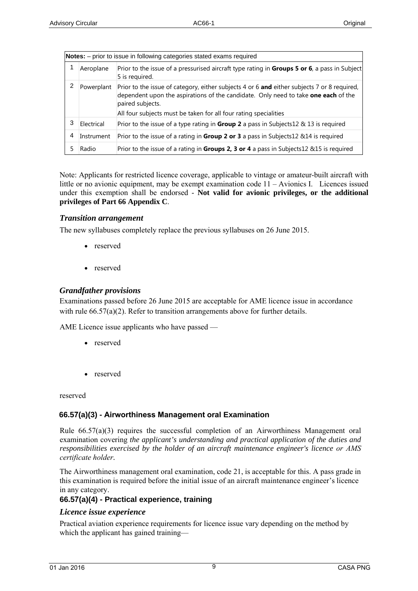| Notes: - prior to issue in following categories stated exams required |            |                                                                                                                                                                                                                                                                           |  |
|-----------------------------------------------------------------------|------------|---------------------------------------------------------------------------------------------------------------------------------------------------------------------------------------------------------------------------------------------------------------------------|--|
|                                                                       | Aeroplane  | Prior to the issue of a pressurised aircraft type rating in Groups 5 or 6, a pass in Subject<br>5 is required.                                                                                                                                                            |  |
|                                                                       | Powerplant | Prior to the issue of category, either subjects 4 or 6 and either subjects 7 or 8 required,<br>dependent upon the aspirations of the candidate. Only need to take one each of the<br>paired subjects.<br>All four subjects must be taken for all four rating specialities |  |
| 3                                                                     | Electrical | Prior to the issue of a type rating in <b>Group 2</b> a pass in Subjects12 $\&$ 13 is required                                                                                                                                                                            |  |
| 4                                                                     | Instrument | Prior to the issue of a rating in <b>Group 2 or 3</b> a pass in Subjects12 $&$ 14 is required                                                                                                                                                                             |  |
|                                                                       | Radio      | Prior to the issue of a rating in Groups 2, 3 or 4 a pass in Subjects12 &15 is required                                                                                                                                                                                   |  |

Note: Applicants for restricted licence coverage, applicable to vintage or amateur-built aircraft with little or no avionic equipment, may be exempt examination code  $11 -$  Avionics I. Licences issued under this exemption shall be endorsed - **Not valid for avionic privileges, or the additional privileges of Part 66 Appendix C**.

#### *Transition arrangement*

Civil Aviation Rule Part 20 prescribes the transition period for changeover from the old to the new AME Licenses by no later than 01 May, 2017. No fees will be charged during this transition period.

## *Grandfather provisions*

(1) Approved Aviation Training Organizations Certificated (ATOC) under CAR Part 141, who currently have candidates in the "final stages" of completion of AME Licensing examinations under the old CASA Australia CAR 31 exam framework may continue and complete sitting CASA Australia exams and submit PNG AME License applications under this framework up until **01 May, 2017**.

(2) ATOCs must provide CASA a list of all such candidates before **30 June 2016.** They must clearly list for each candidate, all CASA Australia basic exams already passed and the remaining exams yet to be passed, to be eligible for this grandfather provision.

(3) CASA will only issue PNG AME Licenses to candidates who satisfy criteria items (1) and (2) above.

## **66.57(a)(4) - Practical experience, training**

## *Licence issue experience*

Practical aviation experience requirements for licence issue vary depending on the method by which the applicant has gained training—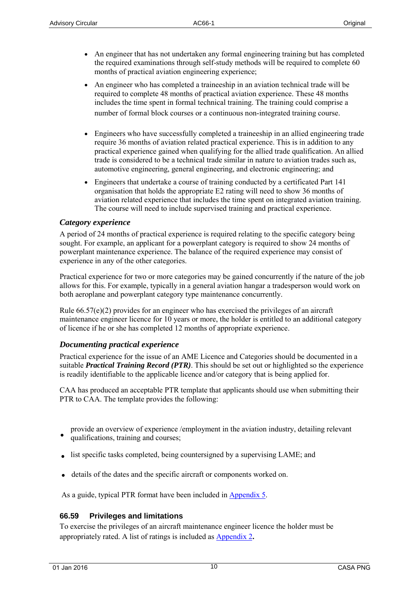- An engineer that has not undertaken any formal engineering training but has completed the required examinations through self-study methods will be required to complete 60 months of practical aviation engineering experience;
- An engineer who has completed a traineeship in an aviation technical trade will be required to complete 48 months of practical aviation experience. These 48 months includes the time spent in formal technical training. The training could comprise a number of formal block courses or a continuous non-integrated training course.
- Engineers who have successfully completed a traineeship in an allied engineering trade require 36 months of aviation related practical experience. This is in addition to any practical experience gained when qualifying for the allied trade qualification. An allied trade is considered to be a technical trade similar in nature to aviation trades such as, automotive engineering, general engineering, and electronic engineering; and
- Engineers that undertake a course of training conducted by a certificated Part 141 organisation that holds the appropriate E2 rating will need to show 36 months of aviation related experience that includes the time spent on integrated aviation training. The course will need to include supervised training and practical experience.

#### *Category experience*

A period of 24 months of practical experience is required relating to the specific category being sought. For example, an applicant for a powerplant category is required to show 24 months of powerplant maintenance experience. The balance of the required experience may consist of experience in any of the other categories.

Practical experience for two or more categories may be gained concurrently if the nature of the job allows for this. For example, typically in a general aviation hangar a tradesperson would work on both aeroplane and powerplant category type maintenance concurrently.

Rule 66.57(e)(2) provides for an engineer who has exercised the privileges of an aircraft maintenance engineer licence for 10 years or more, the holder is entitled to an additional category of licence if he or she has completed 12 months of appropriate experience.

#### *Documenting practical experience*

Practical experience for the issue of an AME Licence and Categories should be documented in a suitable *Practical Training Record (PTR)*. This should be set out or highlighted so the experience is readily identifiable to the applicable licence and/or category that is being applied for.

CAA has produced an acceptable PTR template that applicants should use when submitting their PTR to CAA. The template provides the following:

- provide an overview of experience /employment in the aviation industry, detailing relevant
- qualifications, training and courses;
- list specific tasks completed, being countersigned by a supervising LAME; and
- details of the dates and the specific aircraft or components worked on.

As a guide, typical PTR format have been included in [Appendix 5](#page-34-1).

#### **66.59 Privileges and limitations**

To exercise the privileges of an aircraft maintenance engineer licence the holder must be appropriately rated. A list of ratings is included as [Appendix 2](#page-19-0)**.**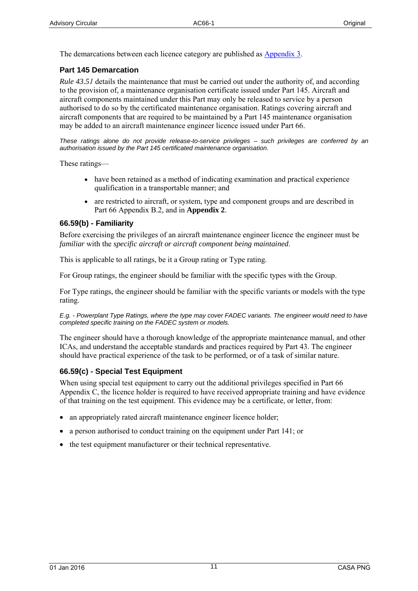The demarcations between each licence category are published as [Appendix 3.](#page-27-0)

### **Part 145 Demarcation**

*Rule 43.51* details the maintenance that must be carried out under the authority of, and according to the provision of, a maintenance organisation certificate issued under Part 145. Aircraft and aircraft components maintained under this Part may only be released to service by a person authorised to do so by the certificated maintenance organisation. Ratings covering aircraft and aircraft components that are required to be maintained by a Part 145 maintenance organisation may be added to an aircraft maintenance engineer licence issued under Part 66.

*These ratings alone do not provide release-to-service privileges – such privileges are conferred by an authorisation issued by the Part 145 certificated maintenance organisation.* 

These ratings—

- have been retained as a method of indicating examination and practical experience qualification in a transportable manner; and
- are restricted to aircraft, or system, type and component groups and are described in Part 66 Appendix B.2, and in **Appendix 2**.

#### **66.59(b) - Familiarity**

Before exercising the privileges of an aircraft maintenance engineer licence the engineer must be *familiar* with the *specific aircraft or aircraft component being maintained*.

This is applicable to all ratings, be it a Group rating or Type rating.

For Group ratings, the engineer should be familiar with the specific types with the Group.

For Type ratings, the engineer should be familiar with the specific variants or models with the type rating.

*E.g. - Powerplant Type Ratings, where the type may cover FADEC variants. The engineer would need to have completed specific training on the FADEC system or models.*

The engineer should have a thorough knowledge of the appropriate maintenance manual, and other ICAs, and understand the acceptable standards and practices required by Part 43. The engineer should have practical experience of the task to be performed, or of a task of similar nature.

#### **66.59(c) - Special Test Equipment**

When using special test equipment to carry out the additional privileges specified in Part 66 Appendix C, the licence holder is required to have received appropriate training and have evidence of that training on the test equipment. This evidence may be a certificate, or letter, from:

- an appropriately rated aircraft maintenance engineer licence holder;
- a person authorised to conduct training on the equipment under Part 141; or
- the test equipment manufacturer or their technical representative.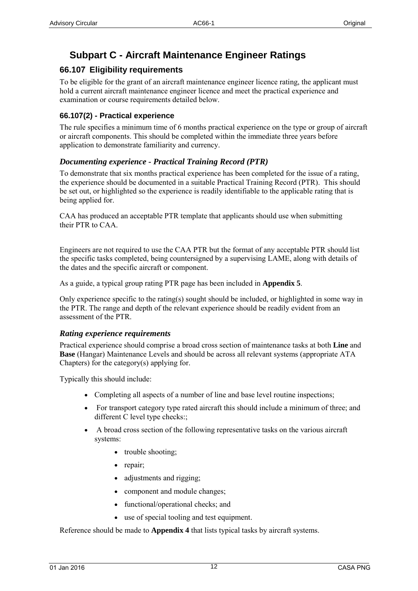## **Subpart C - Aircraft Maintenance Engineer Ratings**

## **66.107 Eligibility requirements**

To be eligible for the grant of an aircraft maintenance engineer licence rating, the applicant must hold a current aircraft maintenance engineer licence and meet the practical experience and examination or course requirements detailed below.

### **66.107(2) - Practical experience**

The rule specifies a minimum time of 6 months practical experience on the type or group of aircraft or aircraft components. This should be completed within the immediate three years before application to demonstrate familiarity and currency.

### *Documenting experience - Practical Training Record (PTR)*

To demonstrate that six months practical experience has been completed for the issue of a rating, the experience should be documented in a suitable Practical Training Record (PTR). This should be set out, or highlighted so the experience is readily identifiable to the applicable rating that is being applied for.

CAA has produced an acceptable PTR template that applicants should use when submitting their PTR to CAA.

Engineers are not required to use the CAA PTR but the format of any acceptable PTR should list the specific tasks completed, being countersigned by a supervising LAME, along with details of the dates and the specific aircraft or component.

As a guide, a typical group rating PTR page has been included in **Appendix 5**.

Only experience specific to the rating(s) sought should be included, or highlighted in some way in the PTR. The range and depth of the relevant experience should be readily evident from an assessment of the PTR.

#### *Rating experience requirements*

Practical experience should comprise a broad cross section of maintenance tasks at both **Line** and **Base** (Hangar) Maintenance Levels and should be across all relevant systems (appropriate ATA Chapters) for the category(s) applying for.

Typically this should include:

- Completing all aspects of a number of line and base level routine inspections;
- For transport category type rated aircraft this should include a minimum of three; and different C level type checks:
- A broad cross section of the following representative tasks on the various aircraft systems:
	- trouble shooting;
	- repair;
	- adjustments and rigging;
	- component and module changes;
	- functional/operational checks; and
	- use of special tooling and test equipment.

Reference should be made to **Appendix 4** that lists typical tasks by aircraft systems.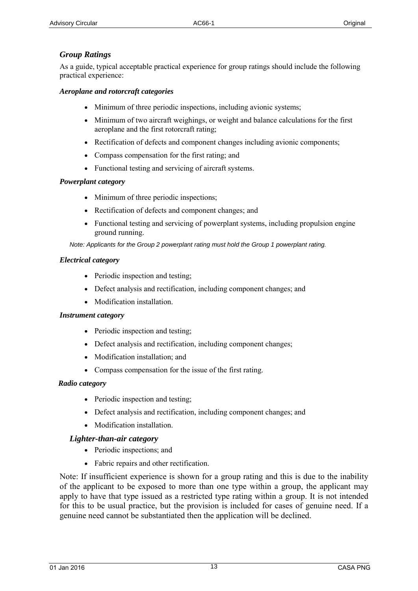## *Group Ratings*

As a guide, typical acceptable practical experience for group ratings should include the following practical experience:

#### *Aeroplane and rotorcraft categories*

- Minimum of three periodic inspections, including avionic systems;
- Minimum of two aircraft weighings, or weight and balance calculations for the first aeroplane and the first rotorcraft rating;
- Rectification of defects and component changes including avionic components;
- Compass compensation for the first rating; and
- Functional testing and servicing of aircraft systems.

### *Powerplant category*

- Minimum of three periodic inspections;
- Rectification of defects and component changes; and
- Functional testing and servicing of powerplant systems, including propulsion engine ground running.

*Note: Applicants for the Group 2 powerplant rating must hold the Group 1 powerplant rating.* 

#### *Electrical category*

- Periodic inspection and testing;
- Defect analysis and rectification, including component changes; and
- Modification installation.

#### *Instrument category*

- Periodic inspection and testing;
- Defect analysis and rectification, including component changes;
- Modification installation; and
- Compass compensation for the issue of the first rating.

#### *Radio category*

- Periodic inspection and testing;
- Defect analysis and rectification, including component changes; and
- Modification installation.

## *Lighter-than-air category*

- Periodic inspections; and
- Fabric repairs and other rectification.

Note: If insufficient experience is shown for a group rating and this is due to the inability of the applicant to be exposed to more than one type within a group, the applicant may apply to have that type issued as a restricted type rating within a group. It is not intended for this to be usual practice, but the provision is included for cases of genuine need. If a genuine need cannot be substantiated then the application will be declined.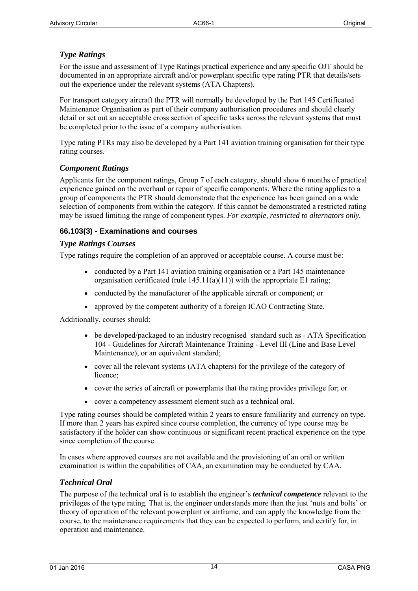## *Type Ratings*

For the issue and assessment of Type Ratings practical experience and any specific OJT should be documented in an appropriate aircraft and/or powerplant specific type rating PTR that details/sets out the experience under the relevant systems (ATA Chapters).

For transport category aircraft the PTR will normally be developed by the Part 145 Certificated Maintenance Organisation as part of their company authorisation procedures and should clearly detail or set out an acceptable cross section of specific tasks across the relevant systems that must be completed prior to the issue of a company authorisation.

Type rating PTRs may also be developed by a Part 141 aviation training organisation for their type rating courses.

### *Component Ratings*

Applicants for the component ratings, Group 7 of each category, should show 6 months of practical experience gained on the overhaul or repair of specific components. Where the rating applies to a group of components the PTR should demonstrate that the experience has been gained on a wide selection of components from within the category. If this cannot be demonstrated a restricted rating may be issued limiting the range of component types. *For example, restricted to alternators only.*

### **66.103(3) - Examinations and courses**

#### *Type Ratings Courses*

Type ratings require the completion of an approved or acceptable course. A course must be:

- conducted by a Part 141 aviation training organisation or a Part 145 maintenance organisation certificated (rule  $145.11(a)(11)$ ) with the appropriate E1 rating;
- conducted by the manufacturer of the applicable aircraft or component; or
- approved by the competent authority of a foreign ICAO Contracting State.

Additionally, courses should:

- be developed/packaged to an industry recognised standard such as ATA Specification 104 - Guidelines for Aircraft Maintenance Training - Level III (Line and Base Level Maintenance), or an equivalent standard;
- cover all the relevant systems (ATA chapters) for the privilege of the category of licence;
- cover the series of aircraft or powerplants that the rating provides privilege for; or
- cover a competency assessment element such as a technical oral.

Type rating courses should be completed within 2 years to ensure familiarity and currency on type. If more than 2 years has expired since course completion, the currency of type course may be satisfactory if the holder can show continuous or significant recent practical experience on the type since completion of the course.

In cases where approved courses are not available and the provisioning of an oral or written examination is within the capabilities of CAA, an examination may be conducted by CAA.

## *Technical Oral*

The purpose of the technical oral is to establish the engineer's *technical competence* relevant to the privileges of the type rating. That is, the engineer understands more than the just 'nuts and bolts' or theory of operation of the relevant powerplant or airframe, and can apply the knowledge from the course, to the maintenance requirements that they can be expected to perform, and certify for, in operation and maintenance.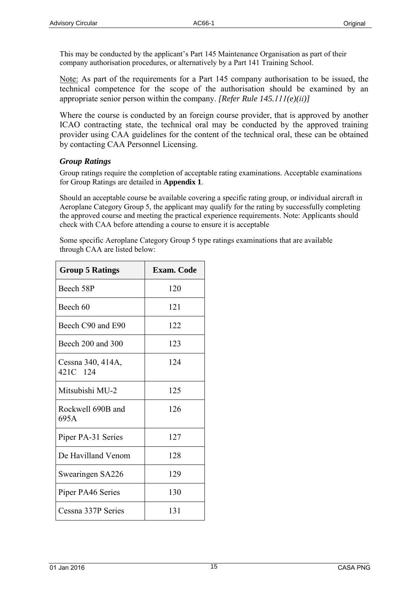This may be conducted by the applicant's Part 145 Maintenance Organisation as part of their company authorisation procedures, or alternatively by a Part 141 Training School.

Note: As part of the requirements for a Part 145 company authorisation to be issued, the technical competence for the scope of the authorisation should be examined by an appropriate senior person within the company. *[Refer Rule 145.111(e)(ii)]*

Where the course is conducted by an foreign course provider, that is approved by another ICAO contracting state, the technical oral may be conducted by the approved training provider using CAA guidelines for the content of the technical oral, these can be obtained by contacting CAA Personnel Licensing.

## *Group Ratings*

Group ratings require the completion of acceptable rating examinations. Acceptable examinations for Group Ratings are detailed in **Appendix 1**.

Should an acceptable course be available covering a specific rating group, or individual aircraft in Aeroplane Category Group 5, the applicant may qualify for the rating by successfully completing the approved course and meeting the practical experience requirements. Note: Applicants should check with CAA before attending a course to ensure it is acceptable

Some specific Aeroplane Category Group 5 type ratings examinations that are available through CAA are listed below:

| <b>Group 5 Ratings</b>        | <b>Exam.</b> Code |
|-------------------------------|-------------------|
| Beech 58P                     | 120               |
| Beech 60                      | 121               |
| Beech C90 and E90             | 122               |
| Beech 200 and 300             | 123               |
| Cessna 340, 414A,<br>421C 124 | 124               |
| Mitsubishi MU-2               | 125               |
| Rockwell 690B and<br>695A     | 126               |
| Piper PA-31 Series            | 127               |
| De Havilland Venom            | 128               |
| Swearingen SA226              | 129               |
| Piper PA46 Series             | 130               |
| Cessna 337P Series            | 131               |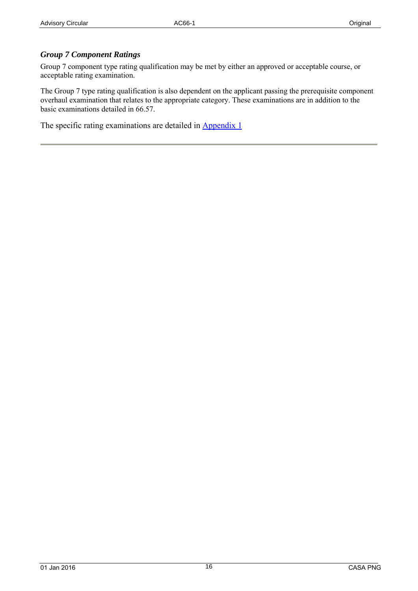### *Group 7 Component Ratings*

Group 7 component type rating qualification may be met by either an approved or acceptable course, or acceptable rating examination.

The Group 7 type rating qualification is also dependent on the applicant passing the prerequisite component overhaul examination that relates to the appropriate category. These examinations are in addition to the basic examinations detailed in 66.57.

The specific rating examinations are detailed in **Appendix 1**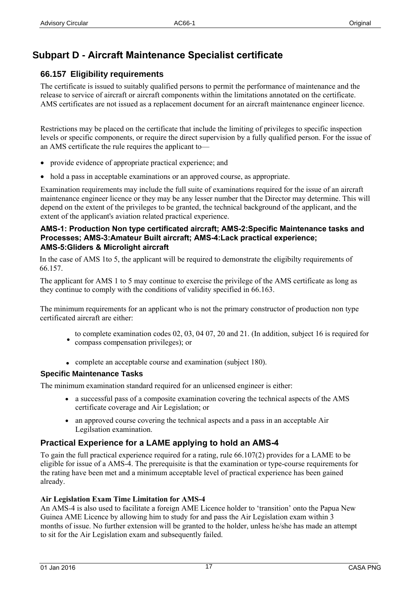## **Subpart D - Aircraft Maintenance Specialist certificate**

## **66.157 Eligibility requirements**

The certificate is issued to suitably qualified persons to permit the performance of maintenance and the release to service of aircraft or aircraft components within the limitations annotated on the certificate. AMS certificates are not issued as a replacement document for an aircraft maintenance engineer licence.

Restrictions may be placed on the certificate that include the limiting of privileges to specific inspection levels or specific components, or require the direct supervision by a fully qualified person. For the issue of an AMS certificate the rule requires the applicant to—

- provide evidence of appropriate practical experience; and
- hold a pass in acceptable examinations or an approved course, as appropriate.

Examination requirements may include the full suite of examinations required for the issue of an aircraft maintenance engineer licence or they may be any lesser number that the Director may determine. This will depend on the extent of the privileges to be granted, the technical background of the applicant, and the extent of the applicant's aviation related practical experience.

#### **AMS-1: Production Non type certificated aircraft; AMS-2:Specific Maintenance tasks and Processes; AMS-3:Amateur Built aircraft; AMS-4:Lack practical experience; AMS-5:Gliders & Microlight aircraft**

In the case of AMS 1to 5, the applicant will be required to demonstrate the eligibilty requirements of 66.157.

The applicant for AMS 1 to 5 may continue to exercise the privilege of the AMS certificate as long as they continue to comply with the conditions of validity specified in 66.163.

The minimum requirements for an applicant who is not the primary constructor of production non type certificated aircraft are either:

- to complete examination codes 02, 03, 04 07, 20 and 21. (In addition, subject 16 is required for • compass compensation privileges); or
- complete an acceptable course and examination (subject 180).

#### **Specific Maintenance Tasks**

The minimum examination standard required for an unlicensed engineer is either:

- a successful pass of a composite examination covering the technical aspects of the AMS certificate coverage and Air Legislation; or
- an approved course covering the technical aspects and a pass in an acceptable Air Legilsation examination.

## **Practical Experience for a LAME applying to hold an AMS-4**

To gain the full practical experience required for a rating, rule 66.107(2) provides for a LAME to be eligible for issue of a AMS-4. The prerequisite is that the examination or type-course requirements for the rating have been met and a minimum acceptable level of practical experience has been gained already.

#### **Air Legislation Exam Time Limitation for AMS-4**

An AMS-4 is also used to facilitate a foreign AME Licence holder to 'transition' onto the Papua New Guinea AME Licence by allowing him to study for and pass the Air Legislation exam within 3 months of issue. No further extension will be granted to the holder, unless he/she has made an attempt to sit for the Air Legislation exam and subsequently failed.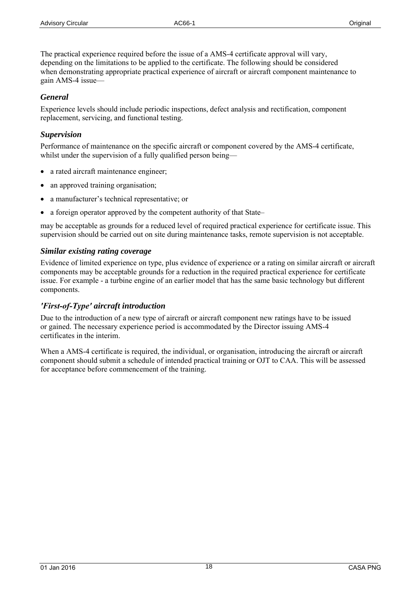The practical experience required before the issue of a AMS-4 certificate approval will vary, depending on the limitations to be applied to the certificate. The following should be considered when demonstrating appropriate practical experience of aircraft or aircraft component maintenance to gain AMS-4 issue—

### *General*

Experience levels should include periodic inspections, defect analysis and rectification, component replacement, servicing, and functional testing.

## *Supervision*

Performance of maintenance on the specific aircraft or component covered by the AMS-4 certificate, whilst under the supervision of a fully qualified person being—

- a rated aircraft maintenance engineer;
- an approved training organisation;
- a manufacturer's technical representative; or
- a foreign operator approved by the competent authority of that State–

may be acceptable as grounds for a reduced level of required practical experience for certificate issue. This supervision should be carried out on site during maintenance tasks, remote supervision is not acceptable.

### *Similar existing rating coverage*

Evidence of limited experience on type, plus evidence of experience or a rating on similar aircraft or aircraft components may be acceptable grounds for a reduction in the required practical experience for certificate issue. For example - a turbine engine of an earlier model that has the same basic technology but different components.

## *'First-of-Type' aircraft introduction*

Due to the introduction of a new type of aircraft or aircraft component new ratings have to be issued or gained. The necessary experience period is accommodated by the Director issuing AMS-4 certificates in the interim.

When a AMS-4 certificate is required, the individual, or organisation, introducing the aircraft or aircraft component should submit a schedule of intended practical training or OJT to CAA. This will be assessed for acceptance before commencement of the training.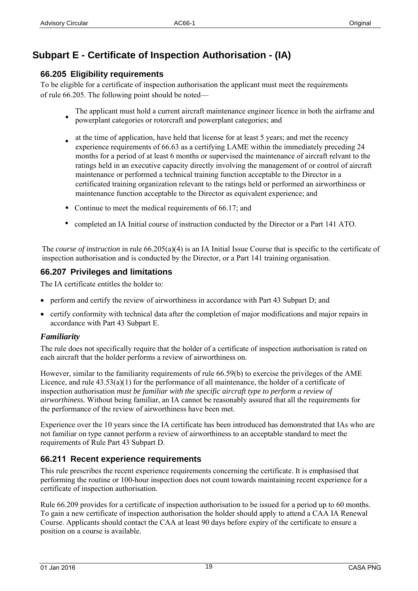## **Subpart E - Certificate of Inspection Authorisation - (IA)**

## **66.205 Eligibility requirements**

To be eligible for a certificate of inspection authorisation the applicant must meet the requirements of rule 66.205. The following point should be noted—

- The applicant must hold a current aircraft maintenance engineer licence in both the airframe and powerplant categories or rotorcraft and powerplant categories; and •
- at the time of application, have held that license for at least 5 years; and met the recency experience requirements of 66.63 as a certifying LAME within the immediately preceding 24 months for a period of at least 6 months or supervised the maintenance of aircraft relvant to the ratings held in an executive capacity directly involving the management of or control of aircraft maintenance or performed a technical training function acceptable to the Director in a certificated training organization relevant to the ratings held or performed an airworthiness or maintenance function acceptable to the Director as equivalent experience; and
- Continue to meet the medical requirements of 66.17; and
- completed an IA Initial course of instruction conducted by the Director or a Part 141 ATO.

The *course of instruction* in rule 66.205(a)(4) is an IA Initial Issue Course that is specific to the certificate of inspection authorisation and is conducted by the Director, or a Part 141 training organisation.

## **66.207 Privileges and limitations**

The IA certificate entitles the holder to:

- perform and certify the review of airworthiness in accordance with Part 43 Subpart D; and
- certify conformity with technical data after the completion of major modifications and major repairs in accordance with Part 43 Subpart E.

#### *Familiarity*

The rule does not specifically require that the holder of a certificate of inspection authorisation is rated on each aircraft that the holder performs a review of airworthiness on.

However, similar to the familiarity requirements of rule 66.59(b) to exercise the privileges of the AME Licence, and rule  $43.53(a)(1)$  for the performance of all maintenance, the holder of a certificate of inspection authorisation *must be familiar with the specific aircraft type to perform a review of airworthiness.* Without being familiar, an IA cannot be reasonably assured that all the requirements for the performance of the review of airworthiness have been met.

Experience over the 10 years since the IA certificate has been introduced has demonstrated that IAs who are not familiar on type cannot perform a review of airworthiness to an acceptable standard to meet the requirements of Rule Part 43 Subpart D.

## **66.211 Recent experience requirements**

This rule prescribes the recent experience requirements concerning the certificate. It is emphasised that performing the routine or 100-hour inspection does not count towards maintaining recent experience for a certificate of inspection authorisation.

Rule 66.209 provides for a certificate of inspection authorisation to be issued for a period up to 60 months. To gain a new certificate of inspection authorisation the holder should apply to attend a CAA IA Renewal Course. Applicants should contact the CAA at least 90 days before expiry of the certificate to ensure a position on a course is available.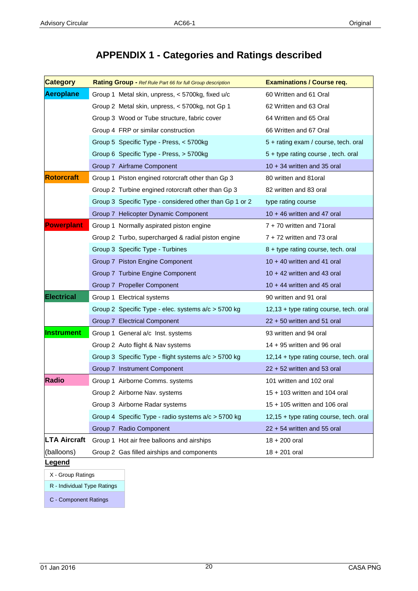## **APPENDIX 1 - Categories and Ratings described**

<span id="page-19-1"></span>

| <b>Category</b>     | Rating Group - Ref Rule Part 66 for full Group description | <b>Examinations / Course req.</b>      |
|---------------------|------------------------------------------------------------|----------------------------------------|
| <b>Aeroplane</b>    | Group 1 Metal skin, unpress, < 5700kg, fixed u/c           | 60 Written and 61 Oral                 |
|                     | Group 2 Metal skin, unpress, < 5700kg, not Gp 1            | 62 Written and 63 Oral                 |
|                     | Group 3 Wood or Tube structure, fabric cover               | 64 Written and 65 Oral                 |
|                     | Group 4 FRP or similar construction                        | 66 Written and 67 Oral                 |
|                     | Group 5 Specific Type - Press, < 5700kg                    | 5 + rating exam / course, tech. oral   |
|                     | Group 6 Specific Type - Press, > 5700kg                    | 5 + type rating course, tech. oral     |
|                     | Group 7 Airframe Component                                 | $10 + 34$ written and 35 oral          |
| <b>Rotorcraft</b>   | Group 1 Piston engined rotorcraft other than Gp 3          | 80 written and 81oral                  |
|                     | Group 2 Turbine engined rotorcraft other than Gp 3         | 82 written and 83 oral                 |
|                     | Group 3 Specific Type - considered other than Gp 1 or 2    | type rating course                     |
|                     | Group 7 Helicopter Dynamic Component                       | $10 + 46$ written and 47 oral          |
| <b>Powerplant</b>   | Group 1 Normally aspirated piston engine                   | 7 + 70 written and 71oral              |
|                     | Group 2 Turbo, supercharged & radial piston engine         | 7 + 72 written and 73 oral             |
|                     | Group 3 Specific Type - Turbines                           | 8 + type rating course, tech. oral     |
|                     | Group 7 Piston Engine Component                            | $10 + 40$ written and 41 oral          |
|                     | Group 7 Turbine Engine Component                           | $10 + 42$ written and 43 oral          |
|                     | Group 7 Propeller Component                                | $10 + 44$ written and 45 oral          |
| <b>Electrical</b>   | Group 1 Electrical systems                                 | 90 written and 91 oral                 |
|                     | Group 2 Specific Type - elec. systems a/c > 5700 kg        | 12,13 + type rating course, tech. oral |
|                     | Group 7 Electrical Component                               | 22 + 50 written and 51 oral            |
| <b>Instrument</b>   | Group 1 General a/c Inst. systems                          | 93 written and 94 oral                 |
|                     | Group 2 Auto flight & Nav systems                          | $14 + 95$ written and 96 oral          |
|                     | Group 3 Specific Type - flight systems a/c > 5700 kg       | 12,14 + type rating course, tech. oral |
|                     | Group 7 Instrument Component                               | $22 + 52$ written and 53 oral          |
| <b>Radio</b>        | Group 1 Airborne Comms. systems                            | 101 written and 102 oral               |
|                     | Group 2 Airborne Nav. systems                              | 15 + 103 written and 104 oral          |
|                     | Group 3 Airborne Radar systems                             | 15 + 105 written and 106 oral          |
|                     | Group 4 Specific Type - radio systems a/c > 5700 kg        | 12,15 + type rating course, tech. oral |
|                     | Group 7 Radio Component                                    | $22 + 54$ written and 55 oral          |
| <b>LTA Aircraft</b> | Group 1 Hot air free balloons and airships                 | $18 + 200$ oral                        |
| (balloons)          | Group 2 Gas filled airships and components                 | $18 + 201$ oral                        |

**Legend**

X - Group Ratings

R - Individual Type Ratings

<span id="page-19-0"></span>C - Component Ratings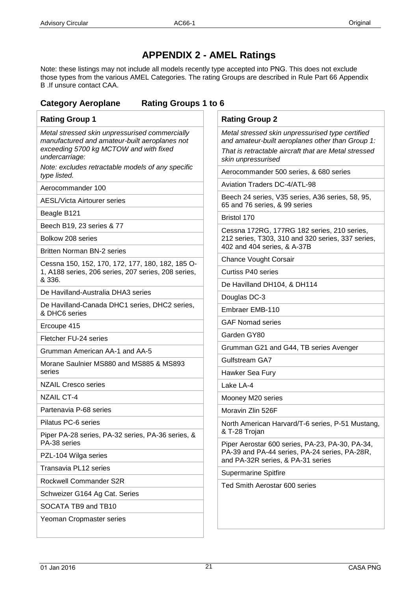## **APPENDIX 2 - AMEL Ratings**

Note: these listings may not include all models recently type accepted into PNG. This does not exclude those types from the various AMEL Categories. The rating Groups are described in Rule Part 66 Appendix B .If unsure contact CAA.

## **Category Aeroplane Rating Groups 1 to 6**

| <b>Rating Group 1</b>                                                                                                                                       | <b>Rating Group 2</b>                                                                                                                                                              |  |  |
|-------------------------------------------------------------------------------------------------------------------------------------------------------------|------------------------------------------------------------------------------------------------------------------------------------------------------------------------------------|--|--|
| Metal stressed skin unpressurised commercially<br>manufactured and amateur-built aeroplanes not<br>exceeding 5700 kg MCTOW and with fixed<br>undercarriage: | Metal stressed skin unpressurised type certified<br>and amateur-built aeroplanes other than Group 1:<br>That is retractable aircraft that are Metal stressed<br>skin unpressurised |  |  |
| Note: excludes retractable models of any specific<br>type listed.                                                                                           | Aerocommander 500 series, & 680 series                                                                                                                                             |  |  |
| Aerocommander 100                                                                                                                                           | <b>Aviation Traders DC-4/ATL-98</b>                                                                                                                                                |  |  |
| <b>AESL/Victa Airtourer series</b>                                                                                                                          | Beech 24 series, V35 series, A36 series, 58, 95,<br>65 and 76 series, & 99 series                                                                                                  |  |  |
| Beagle B121                                                                                                                                                 | Bristol 170                                                                                                                                                                        |  |  |
| Beech B19, 23 series & 77                                                                                                                                   | Cessna 172RG, 177RG 182 series, 210 series,                                                                                                                                        |  |  |
| Bolkow 208 series                                                                                                                                           | 212 series, T303, 310 and 320 series, 337 series,<br>402 and 404 series, & A-37B                                                                                                   |  |  |
| <b>Britten Norman BN-2 series</b>                                                                                                                           | <b>Chance Vought Corsair</b>                                                                                                                                                       |  |  |
| Cessna 150, 152, 170, 172, 177, 180, 182, 185 O-<br>1, A188 series, 206 series, 207 series, 208 series,                                                     | <b>Curtiss P40 series</b>                                                                                                                                                          |  |  |
| & 336.                                                                                                                                                      | De Havilland DH104, & DH114                                                                                                                                                        |  |  |
| De Havilland-Australia DHA3 series                                                                                                                          | Douglas DC-3                                                                                                                                                                       |  |  |
| De Havilland-Canada DHC1 series, DHC2 series,<br>& DHC6 series                                                                                              | Embraer EMB-110                                                                                                                                                                    |  |  |
| Ercoupe 415                                                                                                                                                 | <b>GAF Nomad series</b>                                                                                                                                                            |  |  |
| Fletcher FU-24 series                                                                                                                                       | Garden GY80                                                                                                                                                                        |  |  |
| Grumman American AA-1 and AA-5                                                                                                                              | Grumman G21 and G44, TB series Avenger                                                                                                                                             |  |  |
| Morane Saulnier MS880 and MS885 & MS893                                                                                                                     | <b>Gulfstream GA7</b>                                                                                                                                                              |  |  |
| series                                                                                                                                                      | Hawker Sea Fury                                                                                                                                                                    |  |  |
| <b>NZAIL Cresco series</b>                                                                                                                                  | Lake LA-4                                                                                                                                                                          |  |  |
| <b>NZAIL CT-4</b>                                                                                                                                           | Mooney M20 series                                                                                                                                                                  |  |  |
| Partenavia P-68 series                                                                                                                                      | Moravin Zlin 526F                                                                                                                                                                  |  |  |
| Pilatus PC-6 series                                                                                                                                         | North American Harvard/T-6 series, P-51 Mustang,                                                                                                                                   |  |  |
| Piper PA-28 series, PA-32 series, PA-36 series, &<br>PA-38 series                                                                                           | & T-28 Trojan<br>Piper Aerostar 600 series, PA-23, PA-30, PA-34,                                                                                                                   |  |  |
| PZL-104 Wilga series                                                                                                                                        | PA-39 and PA-44 series, PA-24 series, PA-28R,<br>and PA-32R series, & PA-31 series                                                                                                 |  |  |
| Transavia PL12 series                                                                                                                                       | <b>Supermarine Spitfire</b>                                                                                                                                                        |  |  |
| Rockwell Commander S2R                                                                                                                                      | Ted Smith Aerostar 600 series                                                                                                                                                      |  |  |
| Schweizer G164 Ag Cat. Series                                                                                                                               |                                                                                                                                                                                    |  |  |
| SOCATA TB9 and TB10                                                                                                                                         |                                                                                                                                                                                    |  |  |
| Yeoman Cropmaster series                                                                                                                                    |                                                                                                                                                                                    |  |  |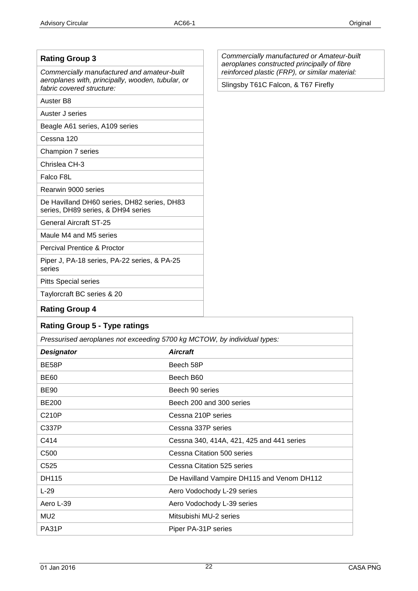| <b>Rating Group 3</b>                                                             | Commercially manufactured or Amateur-built<br>aeroplanes constructed principally of fibre<br>reinforced plastic (FRP), or similar material:<br>Slingsby T61C Falcon, & T67 Firefly |  |
|-----------------------------------------------------------------------------------|------------------------------------------------------------------------------------------------------------------------------------------------------------------------------------|--|
| Commercially manufactured and amateur-built                                       |                                                                                                                                                                                    |  |
| aeroplanes with, principally, wooden, tubular, or<br>fabric covered structure:    |                                                                                                                                                                                    |  |
| Auster B8                                                                         |                                                                                                                                                                                    |  |
| Auster J series                                                                   |                                                                                                                                                                                    |  |
| Beagle A61 series, A109 series                                                    |                                                                                                                                                                                    |  |
| Cessna 120                                                                        |                                                                                                                                                                                    |  |
| Champion 7 series                                                                 |                                                                                                                                                                                    |  |
| Chrislea CH-3                                                                     |                                                                                                                                                                                    |  |
| Falco F8L                                                                         |                                                                                                                                                                                    |  |
| Rearwin 9000 series                                                               |                                                                                                                                                                                    |  |
| De Havilland DH60 series, DH82 series, DH83<br>series, DH89 series, & DH94 series |                                                                                                                                                                                    |  |
| <b>General Aircraft ST-25</b>                                                     |                                                                                                                                                                                    |  |
| Maule M4 and M5 series                                                            |                                                                                                                                                                                    |  |
| <b>Percival Prentice &amp; Proctor</b>                                            |                                                                                                                                                                                    |  |
| Piper J, PA-18 series, PA-22 series, & PA-25<br>series                            |                                                                                                                                                                                    |  |
| <b>Pitts Special series</b>                                                       |                                                                                                                                                                                    |  |
| Taylorcraft BC series & 20                                                        |                                                                                                                                                                                    |  |
| <b>Rating Group 4</b>                                                             |                                                                                                                                                                                    |  |
| <b>Rating Group 5 - Type ratings</b>                                              |                                                                                                                                                                                    |  |
| Prossurised aeroplanes not exceeding 5700 kg MCTOM, by individual types:          |                                                                                                                                                                                    |  |

| Pressurised aeroplanes not exceeding 5/00 kg MCTOW, by individual types: |                                            |  |
|--------------------------------------------------------------------------|--------------------------------------------|--|
| <b>Designator</b>                                                        | <b>Aircraft</b>                            |  |
| BE58P                                                                    | Beech 58P                                  |  |
| <b>BE60</b>                                                              | Beech B60                                  |  |
| <b>BE90</b>                                                              | Beech 90 series                            |  |
| <b>BE200</b>                                                             | Beech 200 and 300 series                   |  |
| C210P                                                                    | Cessna 210P series                         |  |
| C337P                                                                    | Cessna 337P series                         |  |
| C414                                                                     | Cessna 340, 414A, 421, 425 and 441 series  |  |
| C <sub>500</sub>                                                         | Cessna Citation 500 series                 |  |
| C <sub>525</sub>                                                         | Cessna Citation 525 series                 |  |
| DH115                                                                    | De Havilland Vampire DH115 and Venom DH112 |  |
| $L-29$                                                                   | Aero Vodochody L-29 series                 |  |
| Aero L-39                                                                | Aero Vodochody L-39 series                 |  |
| MU <sub>2</sub>                                                          | Mitsubishi MU-2 series                     |  |
| PA31P                                                                    | Piper PA-31P series                        |  |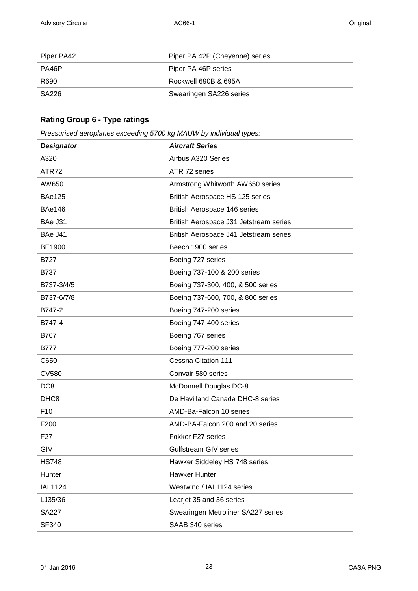ľ

٦

| Piper PA42 | Piper PA 42P (Cheyenne) series |
|------------|--------------------------------|
| PA46P      | Piper PA 46P series            |
| R690       | Rockwell 690B & 695A           |
| SA226      | Swearingen SA226 series        |

| <b>Rating Group 6 - Type ratings</b>                               |                                        |  |  |
|--------------------------------------------------------------------|----------------------------------------|--|--|
| Pressurised aeroplanes exceeding 5700 kg MAUW by individual types: |                                        |  |  |
| <b>Designator</b>                                                  | <b>Aircraft Series</b>                 |  |  |
| A320                                                               | Airbus A320 Series                     |  |  |
| ATR72                                                              | ATR 72 series                          |  |  |
| AW650                                                              | Armstrong Whitworth AW650 series       |  |  |
| <b>BAe125</b>                                                      | British Aerospace HS 125 series        |  |  |
| <b>BAe146</b>                                                      | British Aerospace 146 series           |  |  |
| BAe J31                                                            | British Aerospace J31 Jetstream series |  |  |
| BAe J41                                                            | British Aerospace J41 Jetstream series |  |  |
| <b>BE1900</b>                                                      | Beech 1900 series                      |  |  |
| <b>B727</b>                                                        | Boeing 727 series                      |  |  |
| <b>B737</b>                                                        | Boeing 737-100 & 200 series            |  |  |
| B737-3/4/5                                                         | Boeing 737-300, 400, & 500 series      |  |  |
| B737-6/7/8                                                         | Boeing 737-600, 700, & 800 series      |  |  |
| B747-2                                                             | Boeing 747-200 series                  |  |  |
| B747-4                                                             | Boeing 747-400 series                  |  |  |
| B767                                                               | Boeing 767 series                      |  |  |
| B777                                                               | Boeing 777-200 series                  |  |  |
| C650                                                               | Cessna Citation 111                    |  |  |
| <b>CV580</b>                                                       | Convair 580 series                     |  |  |
| DC <sub>8</sub>                                                    | McDonnell Douglas DC-8                 |  |  |
| DHC <sub>8</sub>                                                   | De Havilland Canada DHC-8 series       |  |  |
| F <sub>10</sub>                                                    | AMD-Ba-Falcon 10 series                |  |  |
| F <sub>200</sub>                                                   | AMD-BA-Falcon 200 and 20 series        |  |  |
| F <sub>27</sub>                                                    | Fokker F27 series                      |  |  |
| GIV                                                                | <b>Gulfstream GIV series</b>           |  |  |
| <b>HS748</b>                                                       | Hawker Siddeley HS 748 series          |  |  |
| Hunter                                                             | <b>Hawker Hunter</b>                   |  |  |
| <b>IAI 1124</b>                                                    | Westwind / IAI 1124 series             |  |  |
| LJ35/36                                                            | Learjet 35 and 36 series               |  |  |
| <b>SA227</b>                                                       | Swearingen Metroliner SA227 series     |  |  |
| SF340                                                              | SAAB 340 series                        |  |  |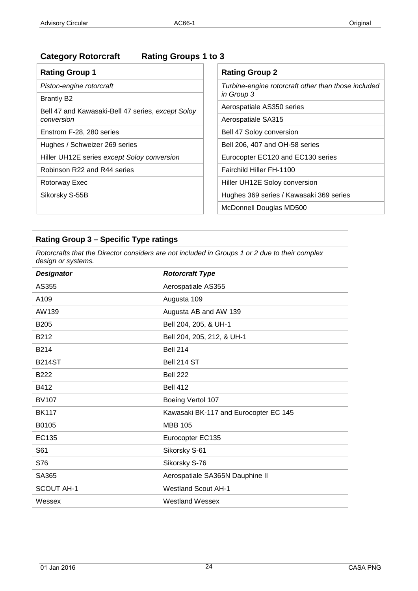## **Category Rotorcraft Rating Groups 1 to 3**

| <b>Rating Group 1</b>                             | <b>Rating Group 2</b>                               |  |  |
|---------------------------------------------------|-----------------------------------------------------|--|--|
| Piston-engine rotorcraft                          | Turbine-engine rotorcraft other than those included |  |  |
| <b>Brantly B2</b>                                 | in Group 3                                          |  |  |
| Bell 47 and Kawasaki-Bell 47 series, except Soloy | Aerospatiale AS350 series                           |  |  |
| conversion                                        | Aerospatiale SA315                                  |  |  |
| Enstrom F-28, 280 series                          | Bell 47 Soloy conversion                            |  |  |
| Hughes / Schweizer 269 series                     | Bell 206, 407 and OH-58 series                      |  |  |
| Hiller UH12E series except Soloy conversion       | Eurocopter EC120 and EC130 series                   |  |  |
| Robinson R22 and R44 series                       | Fairchild Hiller FH-1100                            |  |  |
| Rotorway Exec                                     | Hiller UH12E Soloy conversion                       |  |  |
| Sikorsky S-55B                                    | Hughes 369 series / Kawasaki 369 series             |  |  |
|                                                   | McDonnell Douglas MD500                             |  |  |

| Rating Group 3 - Specific Type ratings                                                                               |                                                      |  |  |  |
|----------------------------------------------------------------------------------------------------------------------|------------------------------------------------------|--|--|--|
| Rotorcrafts that the Director considers are not included in Groups 1 or 2 due to their complex<br>design or systems. |                                                      |  |  |  |
| <b>Designator</b>                                                                                                    | <b>Rotorcraft Type</b>                               |  |  |  |
| AS355                                                                                                                | Aerospatiale AS355                                   |  |  |  |
| A109                                                                                                                 | Augusta 109                                          |  |  |  |
| AW139                                                                                                                | Augusta AB and AW 139                                |  |  |  |
| <b>B205</b>                                                                                                          | Bell 204, 205, & UH-1                                |  |  |  |
| B212                                                                                                                 | Bell 204, 205, 212, & UH-1                           |  |  |  |
| B214                                                                                                                 | <b>Bell 214</b>                                      |  |  |  |
| <b>B214ST</b>                                                                                                        | Bell 214 ST                                          |  |  |  |
| <b>B222</b>                                                                                                          | Bell 222                                             |  |  |  |
| B412                                                                                                                 | <b>Bell 412</b>                                      |  |  |  |
| <b>BK117</b>                                                                                                         | Kawasaki BK-117 Series and Airbus BK117 B2/D2 modelS |  |  |  |
| B0105                                                                                                                | <b>MBB 105</b>                                       |  |  |  |
| CH107                                                                                                                | Columbia Helicopters Inc. 107                        |  |  |  |
| CH <sub>234</sub>                                                                                                    | Columbia Helicopters Inc. 234                        |  |  |  |
| EC135                                                                                                                | Eurocopter EC135                                     |  |  |  |
| S76                                                                                                                  | Sikorsky S-76                                        |  |  |  |
| SA365                                                                                                                | Aerospatiale SA365N Dauphine II                      |  |  |  |
| <b>SCOUT AH-1</b>                                                                                                    | <b>Westland Scout AH-1</b>                           |  |  |  |
| Wessex                                                                                                               | <b>Westland Wessex</b>                               |  |  |  |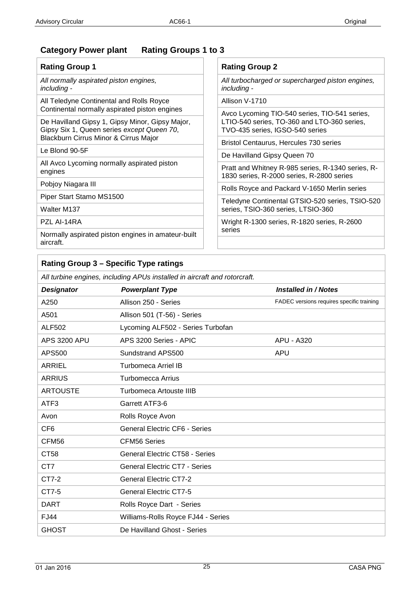## **Category Power plant Rating Groups 1 to 3**

| <b>Rating Group 1</b>                                                                         | <b>Rating Group 2</b>                                                                          |  |  |  |  |
|-----------------------------------------------------------------------------------------------|------------------------------------------------------------------------------------------------|--|--|--|--|
| All normally aspirated piston engines,<br>including -                                         | All turbocharged or supercharged piston engines,<br><i>including -</i>                         |  |  |  |  |
| All Teledyne Continental and Rolls Royce<br>Continental normally aspirated piston engines     | Allison V-1710                                                                                 |  |  |  |  |
|                                                                                               | Avco Lycoming TIO-540 series, TIO-541 series,                                                  |  |  |  |  |
| De Havilland Gipsy 1, Gipsy Minor, Gipsy Major,<br>Gipsy Six 1, Queen series except Queen 70, | LTIO-540 series, TO-360 and LTO-360 series,<br>TVO-435 series, IGSO-540 series                 |  |  |  |  |
| Blackburn Cirrus Minor & Cirrus Major                                                         | Bristol Centaurus, Hercules 730 series<br>De Havilland Gipsy Queen 70                          |  |  |  |  |
| Le Blond 90-5F                                                                                |                                                                                                |  |  |  |  |
| All Avco Lycoming normally aspirated piston                                                   | Pratt and Whitney R-985 series, R-1340 series, R-<br>1830 series, R-2000 series, R-2800 series |  |  |  |  |
| engines                                                                                       |                                                                                                |  |  |  |  |
| Pobjoy Niagara III                                                                            |                                                                                                |  |  |  |  |
|                                                                                               | Rolls Royce and Packard V-1650 Merlin series                                                   |  |  |  |  |
| Piper Start Stamo MS1500                                                                      | Teledyne Continental GTSIO-520 series, TSIO-520                                                |  |  |  |  |
| Walter M137                                                                                   | series, TSIO-360 series, LTSIO-360                                                             |  |  |  |  |
| PZL AI-14RA                                                                                   | Wright R-1300 series, R-1820 series, R-2600                                                    |  |  |  |  |
| Normally aspirated piston engines in amateur-built<br>aircraft.                               | series                                                                                         |  |  |  |  |

## **Rating Group 3 – Specific Type ratings**

*All turbine engines, including APUs installed in aircraft and rotorcraft.*

| <b>Designator</b>   | <b>Powerplant Type</b>                | Installed in / Notes                      |
|---------------------|---------------------------------------|-------------------------------------------|
| A250                | Allison 250 - Series                  | FADEC versions requires specific training |
| A501                | Allison 501 (T-56) - Series           |                                           |
| <b>ALF502</b>       | Lycoming ALF502 - Series Turbofan     |                                           |
| <b>APS 3200 APU</b> | APS 3200 Series - APIC                | <b>APU - A320</b>                         |
| APS500              | Sundstrand APS500                     | <b>APU</b>                                |
| ARRIEL              | Turbomeca Arriel IB / 2E              | FADEC versions requires specific training |
| <b>ARRIUS</b>       | Turbomecca Arrius                     |                                           |
| <b>ARTOUSTE</b>     | Turbomeca Artouste IIIB               |                                           |
| ATF3                | Garrett ATF3-6                        |                                           |
| Avco Lycoming       | AL5512                                |                                           |
| Avon                | Rolls Royce Avon                      |                                           |
| CF <sub>6</sub>     | <b>General Electric CF6 - Series</b>  |                                           |
| CFM56               | <b>CFM56 Series</b>                   |                                           |
| CT58                | <b>General Electric CT58 - Series</b> |                                           |
| CT7                 | <b>General Electric CT7 - Series</b>  |                                           |
| CT7-2               | <b>General Electric CT7-2</b>         |                                           |
| CT7-5               | <b>General Electric CT7-5</b>         |                                           |
| <b>FJ44</b>         | Williams-Rolls Royce FJ44 - Series    |                                           |
| <b>GHOST</b>        | De Havilland Ghost - Series           |                                           |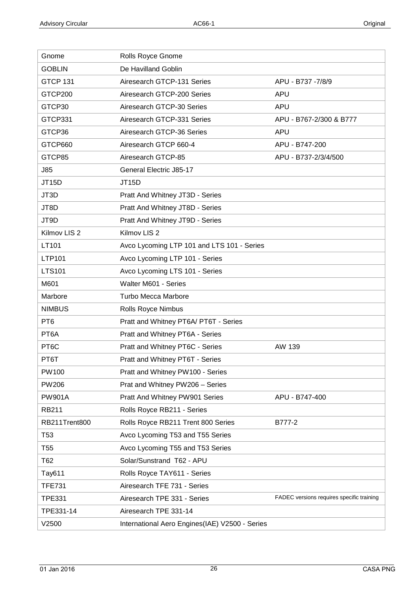| Gnome                   | Rolls Royce Gnome                              |                                           |
|-------------------------|------------------------------------------------|-------------------------------------------|
| <b>GOBLIN</b>           | De Havilland Goblin                            |                                           |
| <b>GTCP 131</b>         | Airesearch GTCP-131 Series                     | APU - B737 -7/8/9                         |
| GTCP200                 | Airesearch GTCP-200 Series                     | <b>APU</b>                                |
| GTCP30                  | Airesearch GTCP-30 Series                      | <b>APU</b>                                |
| GTCP331                 | Airesearch GTCP-331 Series                     | APU - B767-2/300 & B777                   |
| GTCP36                  | Airesearch GTCP-36 Series                      | <b>APU</b>                                |
| GTCP660                 | Airesearch GTCP 660-4                          | APU - B747-200                            |
| GTCP85                  | Airesearch GTCP-85                             | APU - B737-2/3/4/500                      |
| <b>J85</b>              | General Electric J85-17                        |                                           |
| <b>JT15D</b>            | <b>JT15D</b>                                   |                                           |
| JT3D                    | Pratt And Whitney JT3D - Series                |                                           |
| JT8D                    | Pratt And Whitney JT8D - Series                |                                           |
| JT9D                    | Pratt And Whitney JT9D - Series                |                                           |
| Kilmov LIS <sub>2</sub> | Kilmov LIS <sub>2</sub>                        |                                           |
| LT101                   | Avco Lycoming LTP 101 and LTS 101 - Series     |                                           |
| LTP101                  | Avco Lycoming LTP 101 - Series                 |                                           |
| <b>LTS101</b>           | Avco Lycoming LTS 101 - Series                 |                                           |
| M601                    | Walter M601 - Series                           |                                           |
| Marbore                 | <b>Turbo Mecca Marbore</b>                     |                                           |
| <b>NIMBUS</b>           | Rolls Royce Nimbus                             |                                           |
| PT <sub>6</sub>         | Pratt and Whitney PT6A/ PT6T - Series          |                                           |
| PT6A                    | Pratt and Whitney PT6A - Series                |                                           |
| PT <sub>6</sub> C       | Pratt and Whitney PT6C - Series                | AW 139                                    |
| PT6T                    | Pratt and Whitney PT6T - Series                |                                           |
| <b>PW100</b>            | Pratt and Whitney PW100 - Series               |                                           |
| <b>PW206</b>            | Prat and Whitney PW206 - Series                |                                           |
| <b>PW901A</b>           | Pratt And Whitney PW901 Series                 | APU - B747-400                            |
| RB211                   | Rolls Royce RB211 - Series                     |                                           |
| RB211Trent800           | Rolls Royce RB211 Trent 800 Series             | B777-2                                    |
| T <sub>53</sub>         | Avco Lycoming T53 and T55 Series               |                                           |
| T <sub>55</sub>         | Avco Lycoming T55 and T53 Series               |                                           |
| T62                     | Solar/Sunstrand T62 - APU                      |                                           |
| Tay611                  | Rolls Royce TAY611 - Series                    |                                           |
| <b>TFE731</b>           | Airesearch TFE 731 - Series                    |                                           |
| <b>TPE331</b>           | Airesearch TPE 331 - Series                    | FADEC versions requires specific training |
| TPE331-14               | Airesearch TPE 331-14                          |                                           |
| V2500                   | International Aero Engines(IAE) V2500 - Series |                                           |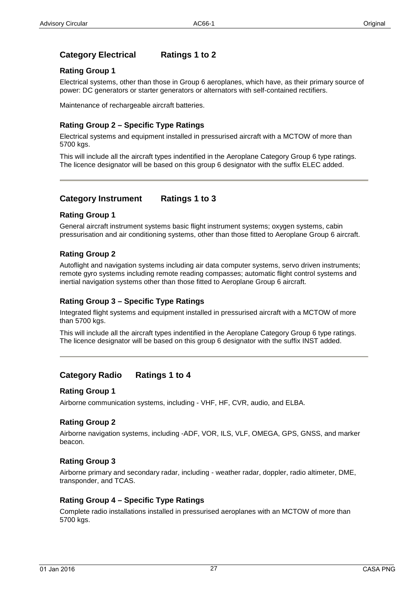## **Category Electrical Ratings 1 to 2**

#### **Rating Group 1**

Electrical systems, other than those in Group 6 aeroplanes, which have, as their primary source of power: DC generators or starter generators or alternators with self-contained rectifiers.

Maintenance of rechargeable aircraft batteries.

#### **Rating Group 2 – Specific Type Ratings**

Electrical systems and equipment installed in pressurised aircraft with a MCTOW of more than 5700 kgs.

This will include all the aircraft types indentified in the Aeroplane Category Group 6 type ratings. The licence designator will be based on this group 6 designator with the suffix ELEC added.

### **Category Instrument Ratings 1 to 3**

#### **Rating Group 1**

General aircraft instrument systems basic flight instrument systems; oxygen systems, cabin pressurisation and air conditioning systems, other than those fitted to Aeroplane Group 6 aircraft.

#### **Rating Group 2**

Autoflight and navigation systems including air data computer systems, servo driven instruments; remote gyro systems including remote reading compasses; automatic flight control systems and inertial navigation systems other than those fitted to Aeroplane Group 6 aircraft.

#### **Rating Group 3 – Specific Type Ratings**

Integrated flight systems and equipment installed in pressurised aircraft with a MCTOW of more than 5700 kgs.

This will include all the aircraft types indentified in the Aeroplane Category Group 6 type ratings. The licence designator will be based on this group 6 designator with the suffix INST added.

## **Category Radio Ratings 1 to 4**

#### **Rating Group 1**

Airborne communication systems, including - VHF, HF, CVR, audio, and ELBA.

#### **Rating Group 2**

Airborne navigation systems, including -ADF, VOR, ILS, VLF, OMEGA, GPS, GNSS, and marker beacon.

#### **Rating Group 3**

Airborne primary and secondary radar, including - weather radar, doppler, radio altimeter, DME, transponder, and TCAS.

#### **Rating Group 4 – Specific Type Ratings**

Complete radio installations installed in pressurised aeroplanes with an MCTOW of more than 5700 kgs.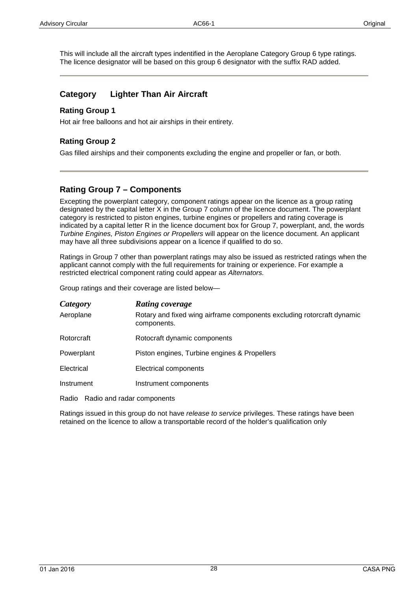This will include all the aircraft types indentified in the Aeroplane Category Group 6 type ratings. The licence designator will be based on this group 6 designator with the suffix RAD added.

## **Category Lighter Than Air Aircraft**

#### **Rating Group 1**

Hot air free balloons and hot air airships in their entirety.

### **Rating Group 2**

Gas filled airships and their components excluding the engine and propeller or fan, or both.

## **Rating Group 7 – Components**

Excepting the powerplant category, component ratings appear on the licence as a group rating designated by the capital letter X in the Group 7 column of the licence document. The powerplant category is restricted to piston engines, turbine engines or propellers and rating coverage is indicated by a capital letter R in the licence document box for Group 7, powerplant, and, the words *Turbine Engines, Piston Engines or Propellers* will appear on the licence document. An applicant may have all three subdivisions appear on a licence if qualified to do so.

Ratings in Group 7 other than powerplant ratings may also be issued as restricted ratings when the applicant cannot comply with the full requirements for training or experience. For example a restricted electrical component rating could appear as *Alternators.* 

Group ratings and their coverage are listed below—

| Category   | <b>Rating coverage</b>                                                                |
|------------|---------------------------------------------------------------------------------------|
| Aeroplane  | Rotary and fixed wing airframe components excluding rotorcraft dynamic<br>components. |
| Rotorcraft | Rotocraft dynamic components                                                          |
| Powerplant | Piston engines, Turbine engines & Propellers                                          |
| Electrical | Electrical components                                                                 |
| Instrument | Instrument components                                                                 |

Radio Radio and radar components

<span id="page-27-0"></span>Ratings issued in this group do not have *release to service* privileges. These ratings have been retained on the licence to allow a transportable record of the holder's qualification only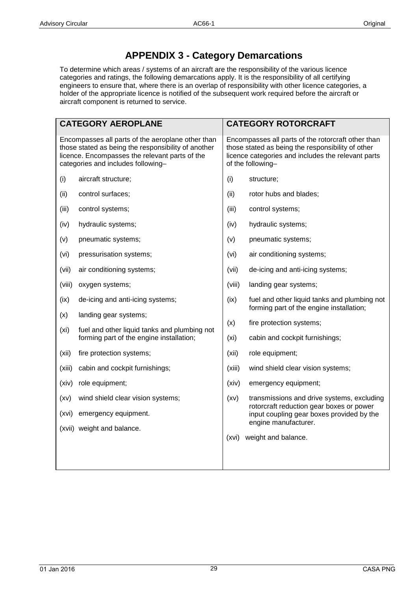## **APPENDIX 3 - Category Demarcations**

To determine which areas / systems of an aircraft are the responsibility of the various licence categories and ratings, the following demarcations apply. It is the responsibility of all certifying engineers to ensure that, where there is an overlap of responsibility with other licence categories, a holder of the appropriate licence is notified of the subsequent work required before the aircraft or aircraft component is returned to service.

| <b>CATEGORY AEROPLANE</b>                                                                                                                                                                        |                                                                                          |        | <b>CATEGORY ROTORCRAFT</b>                                                                                                                                                         |  |  |  |
|--------------------------------------------------------------------------------------------------------------------------------------------------------------------------------------------------|------------------------------------------------------------------------------------------|--------|------------------------------------------------------------------------------------------------------------------------------------------------------------------------------------|--|--|--|
| Encompasses all parts of the aeroplane other than<br>those stated as being the responsibility of another<br>licence. Encompasses the relevant parts of the<br>categories and includes following- |                                                                                          |        | Encompasses all parts of the rotorcraft other than<br>those stated as being the responsibility of other<br>licence categories and includes the relevant parts<br>of the following- |  |  |  |
| (i)                                                                                                                                                                                              | aircraft structure;                                                                      | (i)    | structure;                                                                                                                                                                         |  |  |  |
| (ii)                                                                                                                                                                                             | control surfaces;                                                                        | (ii)   | rotor hubs and blades;                                                                                                                                                             |  |  |  |
| (iii)                                                                                                                                                                                            | control systems;                                                                         | (iii)  | control systems;                                                                                                                                                                   |  |  |  |
| (iv)                                                                                                                                                                                             | hydraulic systems;                                                                       | (iv)   | hydraulic systems;                                                                                                                                                                 |  |  |  |
| (v)                                                                                                                                                                                              | pneumatic systems;                                                                       | (v)    | pneumatic systems;                                                                                                                                                                 |  |  |  |
| (vi)                                                                                                                                                                                             | pressurisation systems;                                                                  | (vi)   | air conditioning systems;                                                                                                                                                          |  |  |  |
| (vii)                                                                                                                                                                                            | air conditioning systems;                                                                | (vii)  | de-icing and anti-icing systems;                                                                                                                                                   |  |  |  |
| (viii)                                                                                                                                                                                           | oxygen systems;                                                                          | (viii) | landing gear systems;                                                                                                                                                              |  |  |  |
| (ix)                                                                                                                                                                                             | de-icing and anti-icing systems;                                                         | (ix)   | fuel and other liquid tanks and plumbing not<br>forming part of the engine installation;                                                                                           |  |  |  |
| (x)                                                                                                                                                                                              | landing gear systems;                                                                    | (x)    | fire protection systems;                                                                                                                                                           |  |  |  |
| (x <sub>i</sub> )                                                                                                                                                                                | fuel and other liquid tanks and plumbing not<br>forming part of the engine installation; | (xi)   | cabin and cockpit furnishings;                                                                                                                                                     |  |  |  |
| (xii)                                                                                                                                                                                            | fire protection systems;                                                                 | (xii)  | role equipment;                                                                                                                                                                    |  |  |  |
| (xiii)                                                                                                                                                                                           | cabin and cockpit furnishings;                                                           | (xiii) | wind shield clear vision systems;                                                                                                                                                  |  |  |  |
| (xiv)                                                                                                                                                                                            | role equipment;                                                                          | (xiv)  | emergency equipment;                                                                                                                                                               |  |  |  |
| (xv)                                                                                                                                                                                             | wind shield clear vision systems;                                                        | (xv)   | transmissions and drive systems, excluding                                                                                                                                         |  |  |  |
| (xvi)                                                                                                                                                                                            | emergency equipment.                                                                     |        | rotorcraft reduction gear boxes or power<br>input coupling gear boxes provided by the                                                                                              |  |  |  |
|                                                                                                                                                                                                  | (xvii) weight and balance.                                                               |        | engine manufacturer.                                                                                                                                                               |  |  |  |
|                                                                                                                                                                                                  |                                                                                          | (xvi)  | weight and balance.                                                                                                                                                                |  |  |  |
|                                                                                                                                                                                                  |                                                                                          |        |                                                                                                                                                                                    |  |  |  |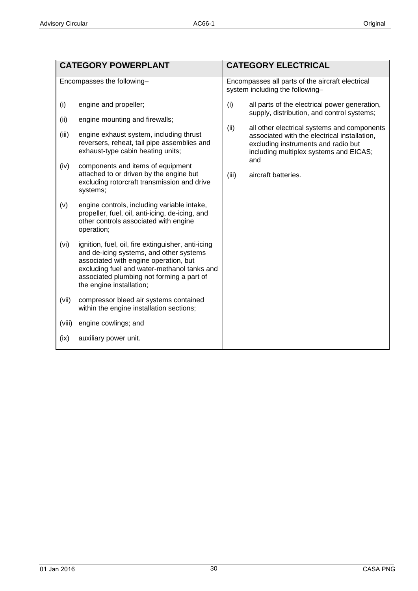|                                                      | <b>CATEGORY POWERPLANT</b>                                                                                                                                                                                                                                                                                                                                                                                                                                                                                                                                                                                                                                                                                                                                                                                                                         | <b>CATEGORY ELECTRICAL</b>                                                                                                                                                                                                                                                                                                        |  |
|------------------------------------------------------|----------------------------------------------------------------------------------------------------------------------------------------------------------------------------------------------------------------------------------------------------------------------------------------------------------------------------------------------------------------------------------------------------------------------------------------------------------------------------------------------------------------------------------------------------------------------------------------------------------------------------------------------------------------------------------------------------------------------------------------------------------------------------------------------------------------------------------------------------|-----------------------------------------------------------------------------------------------------------------------------------------------------------------------------------------------------------------------------------------------------------------------------------------------------------------------------------|--|
|                                                      | Encompasses the following-                                                                                                                                                                                                                                                                                                                                                                                                                                                                                                                                                                                                                                                                                                                                                                                                                         | Encompasses all parts of the aircraft electrical<br>system including the following-                                                                                                                                                                                                                                               |  |
| (i)<br>(ii)<br>(iii)<br>(iv)<br>(v)<br>(vi)<br>(vii) | engine and propeller;<br>engine mounting and firewalls;<br>engine exhaust system, including thrust<br>reversers, reheat, tail pipe assemblies and<br>exhaust-type cabin heating units;<br>components and items of equipment<br>attached to or driven by the engine but<br>excluding rotorcraft transmission and drive<br>systems;<br>engine controls, including variable intake,<br>propeller, fuel, oil, anti-icing, de-icing, and<br>other controls associated with engine<br>operation;<br>ignition, fuel, oil, fire extinguisher, anti-icing<br>and de-icing systems, and other systems<br>associated with engine operation, but<br>excluding fuel and water-methanol tanks and<br>associated plumbing not forming a part of<br>the engine installation;<br>compressor bleed air systems contained<br>within the engine installation sections; | (i)<br>all parts of the electrical power generation,<br>supply, distribution, and control systems;<br>(ii)<br>all other electrical systems and components<br>associated with the electrical installation,<br>excluding instruments and radio but<br>including multiplex systems and EICAS;<br>and<br>(iii)<br>aircraft batteries. |  |
| (viii)                                               | engine cowlings; and                                                                                                                                                                                                                                                                                                                                                                                                                                                                                                                                                                                                                                                                                                                                                                                                                               |                                                                                                                                                                                                                                                                                                                                   |  |
| (ix)                                                 | auxiliary power unit.                                                                                                                                                                                                                                                                                                                                                                                                                                                                                                                                                                                                                                                                                                                                                                                                                              |                                                                                                                                                                                                                                                                                                                                   |  |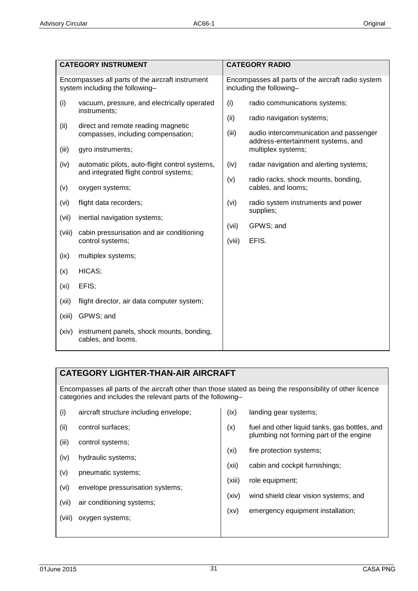| <b>CATEGORY INSTRUMENT</b>                                                          |                                                                                          |                                                                                | <b>CATEGORY RADIO</b>                                               |  |
|-------------------------------------------------------------------------------------|------------------------------------------------------------------------------------------|--------------------------------------------------------------------------------|---------------------------------------------------------------------|--|
|                                                                                     |                                                                                          |                                                                                |                                                                     |  |
| Encompasses all parts of the aircraft instrument<br>system including the following- |                                                                                          | Encompasses all parts of the aircraft radio system<br>including the following- |                                                                     |  |
| (i)                                                                                 | vacuum, pressure, and electrically operated<br>instruments;                              | (i)                                                                            | radio communications systems;                                       |  |
| (ii)                                                                                | direct and remote reading magnetic<br>compasses, including compensation;                 | (ii)<br>(iii)                                                                  | radio navigation systems;<br>audio intercommunication and passenger |  |
| (iii)                                                                               | gyro instruments;                                                                        |                                                                                | address-entertainment systems, and<br>multiplex systems;            |  |
| (iv)                                                                                | automatic pilots, auto-flight control systems,<br>and integrated flight control systems; | (iv)                                                                           | radar navigation and alerting systems;                              |  |
| (v)                                                                                 | oxygen systems;                                                                          | (v)                                                                            | radio racks, shock mounts, bonding,<br>cables, and looms;           |  |
| (vi)                                                                                | flight data recorders;                                                                   | (vi)                                                                           | radio system instruments and power<br>supplies;                     |  |
| (vii)                                                                               | inertial navigation systems;                                                             |                                                                                |                                                                     |  |
| (viii)                                                                              | cabin pressurisation and air conditioning<br>control systems;                            | (vii)<br>(viii)                                                                | GPWS; and<br>EFIS.                                                  |  |
| (ix)                                                                                | multiplex systems;                                                                       |                                                                                |                                                                     |  |
| (x)                                                                                 | HICAS;                                                                                   |                                                                                |                                                                     |  |
| (x <sub>i</sub> )                                                                   | EFIS;                                                                                    |                                                                                |                                                                     |  |
| (xii)                                                                               | flight director, air data computer system;                                               |                                                                                |                                                                     |  |
| (xiii)                                                                              | GPWS; and                                                                                |                                                                                |                                                                     |  |
| (xiv)                                                                               | instrument panels, shock mounts, bonding,<br>cables, and looms.                          |                                                                                |                                                                     |  |

## **CATEGORY LIGHTER-THAN-AIR AIRCRAFT**

Encompasses all parts of the aircraft other than those stated as being the responsibility of other licence categories and includes the relevant parts of the following–

| (i)    | aircraft structure including envelope; | (ix)   | landing gear systems;                                                                    |  |
|--------|----------------------------------------|--------|------------------------------------------------------------------------------------------|--|
| (ii)   | control surfaces;                      | (x)    | fuel and other liquid tanks, gas bottles, and<br>plumbing not forming part of the engine |  |
| (iii)  | control systems;                       |        |                                                                                          |  |
| (iv)   | hydraulic systems;                     | (xi)   | fire protection systems;                                                                 |  |
| (v)    | pneumatic systems;                     | (xii)  | cabin and cockpit furnishings;                                                           |  |
|        | envelope pressurisation systems;       | (xiii) | role equipment;                                                                          |  |
| (vi)   |                                        | (xiv)  | wind shield clear vision systems; and                                                    |  |
| (vii)  | air conditioning systems;              |        | emergency equipment installation:                                                        |  |
| (viii) | oxygen systems;                        | (xv)   |                                                                                          |  |
|        |                                        |        |                                                                                          |  |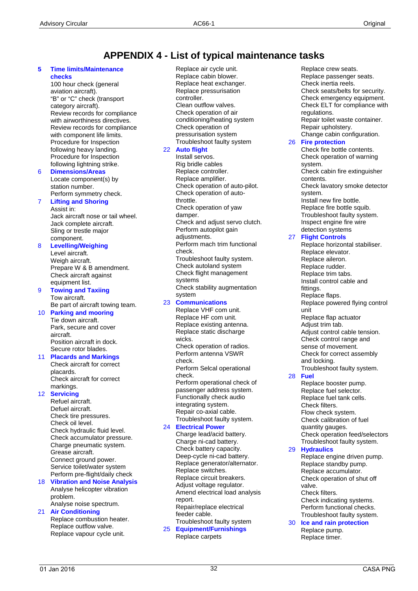## **APPENDIX 4 - List of typical maintenance tasks**

#### **5 Time limits/Maintenance checks**

100 hour check (general aviation aircraft). "B" or "C" check (transport category aircraft). Review records for compliance with airworthiness directives. Review records for compliance with component life limits. Procedure for Inspection following heavy landing. Procedure for Inspection following lightning strike.

#### 6 **Dimensions/Areas** Locate component(s) by station number. Perform symmetry check.

## **Lifting and Shoring**

Assist in: Jack aircraft nose or tail wheel. Jack complete aircraft. Sling or trestle major component.

## 8 **Levelling/Weighing**

Level aircraft. Weigh aircraft. Prepare W & B amendment. Check aircraft against equipment list.

#### 9 **Towing and Taxiing** Tow aircraft. Be part of aircraft towing team.

10 **Parking and mooring** Tie down aircraft. Park, secure and cover aircraft. Position aircraft in dock. Secure rotor blades.

#### 11 **Placards and Markings** Check aircraft for correct placards. Check aircraft for correct markings.

#### 12 **Servicing**

Refuel aircraft. Defuel aircraft. Check tire pressures. Check oil level. Check hydraulic fluid level. Check accumulator pressure. Charge pneumatic system. Grease aircraft. Connect ground power. Service toilet/water system Perform pre-flight/daily check

#### 18 **Vibration and Noise Analysis** Analyse helicopter vibration problem.

#### Analyse noise spectrum. 21 **Air Conditioning** Replace combustion heater. Replace outflow valve. Replace vapour cycle unit.

Replace air cycle unit. Replace cabin blower. Replace heat exchanger. Replace pressurisation controller. Clean outflow valves. Check operation of air conditioning/heating system Check operation of pressurisation system Troubleshoot faulty system

### 22 **Auto flight**

Install servos. Rig bridle cables Replace controller. Replace amplifier. Check operation of auto-pilot. Check operation of autothrottle. Check operation of yaw damper. Check and adjust servo clutch. Perform autopilot gain adiustments. Perform mach trim functional check. Troubleshoot faulty system. Check autoland system Check flight management systems Check stability augmentation system 23 **Communications** Replace VHF com unit. Replace HF com unit.

#### Replace existing antenna. Replace static discharge wicks. Check operation of radios. Perform antenna VSWR check. Perform Selcal operational check. Perform operational check of passenger address system. Functionally check audio

integrating system. Repair co-axial cable. Troubleshoot faulty system.

#### 24 **Electrical Power**

Charge lead/acid battery. Charge ni-cad battery. Check battery capacity. Deep-cycle ni-cad battery. Replace generator/alternator. Replace switches. Replace circuit breakers. Adjust voltage regulator. Amend electrical load analysis report. Repair/replace electrical feeder cable. Troubleshoot faulty system

25 **Equipment/Furnishings** Replace carpets

Replace crew seats. Replace passenger seats. Check inertia reels. Check seats/belts for security. Check emergency equipment. Check ELT for compliance with regulations. Repair toilet waste container. Repair upholstery. Change cabin configuration. 26 **Fire protection** Check fire bottle contents. Check operation of warning system. Check cabin fire extinguisher contents. Check lavatory smoke detector

system. Install new fire bottle. Replace fire bottle squib. Troubleshoot faulty system. Inspect engine fire wire detection systems

#### 27 **Flight Controls**

Replace horizontal stabiliser. Replace elevator. Replace aileron. Replace rudder. Replace trim tabs. Install control cable and fittings. Replace flaps. Replace powered flying control unit Replace flap actuator Adjust trim tab. Adjust control cable tension. Check control range and sense of movement. Check for correct assembly and locking. Troubleshoot faulty system. Replace booster pump. Replace fuel selector.

#### 28 **Fuel**

Replace fuel tank cells. Check filters. Flow check system. Check calibration of fuel quantity gauges. Check operation feed/selectors Troubleshoot faulty system.

#### 29 **Hydraulics**

Replace engine driven pump. Replace standby pump. Replace accumulator. Check operation of shut off valve. Check filters. Check indicating systems. Perform functional checks. Troubleshoot faulty system.

#### 30 **Ice and rain protection** Replace pump.

Replace timer.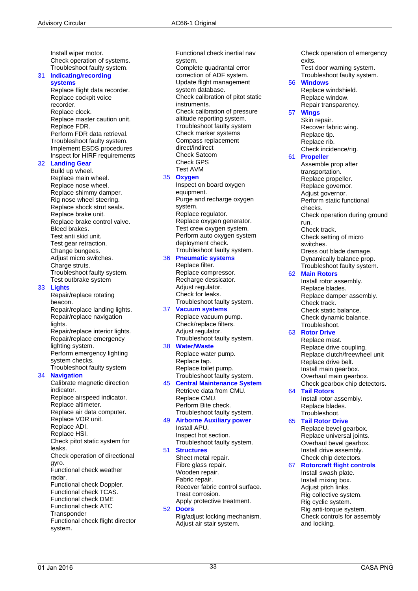Install wiper motor. Check operation of systems. Troubleshoot faulty system.

#### 31 **Indicating/recording systems**

Replace flight data recorder. Replace cockpit voice recorder. Replace clock. Replace master caution unit. Replace FDR. Perform FDR data retrieval. Troubleshoot faulty system. Implement ESDS procedures Inspect for HIRF requirements

#### 32 **Landing Gear**

Build up wheel. Replace main wheel. Replace nose wheel. Replace shimmy damper. Rig nose wheel steering. Replace shock strut seals. Replace brake unit. Replace brake control valve. Bleed brakes. Test anti skid unit. Test gear retraction. Change bungees. Adjust micro switches. Charge struts. Troubleshoot faulty system. Test outbrake system

#### 33 **Lights**

Repair/replace rotating beacon. Repair/replace landing lights. Repair/replace navigation lights. Repair/replace interior lights. Repair/replace emergency

lighting system. Perform emergency lighting system checks. Troubleshoot faulty system

#### 34 **Navigation**

Calibrate magnetic direction indicator. Replace airspeed indicator. Replace altimeter. Replace air data computer. Replace VOR unit. Replace ADI. Replace HSI. Check pitot static system for leaks. Check operation of directional gyro. Functional check weather radar. Functional check Doppler. Functional check TCAS. Functional check DME Functional check ATC **Transponder** Functional check flight director system.

Functional check inertial nav system. Complete quadrantal error correction of ADF system. Update flight management system database. Check calibration of pitot static instruments. Check calibration of pressure altitude reporting system. Troubleshoot faulty system Check marker systems Compass replacement direct/indirect Check Satcom Check GPS

#### Test AVM 35 **Oxygen**

Inspect on board oxygen equipment. Purge and recharge oxygen system. Replace regulator. Replace oxygen generator. Test crew oxygen system. Perform auto oxygen system deployment check. Troubleshoot faulty system. 36 **Pneumatic systems**

#### Replace filter.

Replace compressor. Recharge dessicator. Adjust regulator. Check for leaks. Troubleshoot faulty system.

#### 37 **Vacuum systems**

Replace vacuum pump. Check/replace filters. Adjust regulator. Troubleshoot faulty system.

#### 38 **Water/Waste**

Replace water pump. Replace tap. Replace toilet pump. Troubleshoot faulty system.

## 45 **Central Maintenance System**

Retrieve data from CMU. Replace CMU. Perform Bite check. Troubleshoot faulty system.

#### 49 **Airborne Auxiliary power** Install APU.

Inspect hot section. Troubleshoot faulty system.

## 51 **Structures**

Sheet metal repair. Fibre glass repair. Wooden repair. Fabric repair. Recover fabric control surface. Treat corrosion. Apply protective treatment.

#### 52 **Doors**

Rig/adjust locking mechanism. Adjust air stair system.

Check operation of emergency exits. Test door warning system.

#### Troubleshoot faulty system. 56 **Windows**

Replace windshield. Replace window. Repair transparency.

#### 57 **Wings**

Skin repair. Recover fabric wing. Replace tip. Replace rib. Check incidence/rig.

#### 61 **Propeller**

Assemble prop after transportation. Replace propeller. Replace governor. Adjust governor. Perform static functional checks. Check operation during ground run. Check track. Check setting of micro switches. Dress out blade damage. Dynamically balance prop. Troubleshoot faulty system.

#### 62 **Main Rotors**

Install rotor assembly. Replace blades. Replace damper assembly. Check track. Check static balance. Check dynamic balance. Troubleshoot.

#### 63 **Rotor Drive**

Replace mast. Replace drive coupling. Replace clutch/freewheel unit Replace drive belt. Install main gearbox. Overhaul main gearbox. Check gearbox chip detectors.

#### 64 **Tail Rotors**

Install rotor assembly. Replace blades. Troubleshoot.

#### 65 **Tail Rotor Drive**

Replace bevel gearbox. Replace universal joints. Overhaul bevel gearbox. Install drive assembly. Check chip detectors.

#### 67 **Rotorcraft flight controls**

Install swash plate. Install mixing box. Adjust pitch links. Rig collective system. Rig cyclic system. Rig anti-torque system. Check controls for assembly and locking.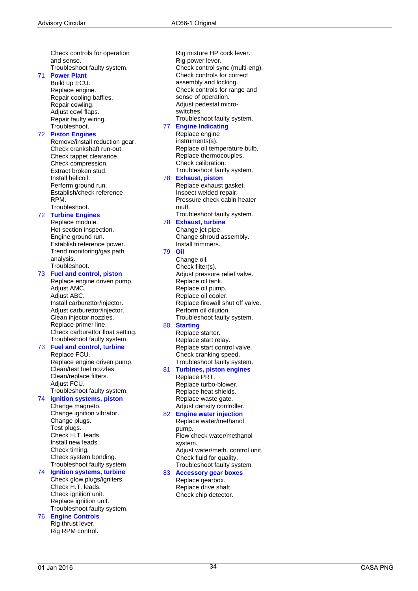Check controls for operation and sense.

Troubleshoot faulty system.

#### 71 **Power Plant** Build up ECU.

Replace engine. Repair cooling baffles. Repair cowling. Adjust cowl flaps. Repair faulty wiring. Troubleshoot.

#### 72 **Piston Engines**

Remove/install reduction gear. Check crankshaft run -out. Check tappet clearance. Check compression. Extract broken stud. Install helicoil. Perform ground run. Establish/check reference RPM. Troubleshoot.

#### 72 **Turbine Engines**

Replace module. Hot section inspection. Engine ground run. Establish reference power. Trend monitoring/gas path analysis. Troubleshoot.

#### 73 **Fuel and control, piston**

Replace engine driven pump. Adjust AMC. Adjust ABC. Install carburettor/injector. Adjust carburettor/injector. Clean injector nozzles. Replace primer line. Check carburettor float setting. Troubleshoot faulty system.

#### 73 **Fuel and control, turbine** Replace FCU.

Replace engine driven pump. Clean/test fuel nozzles. Clean/replace filters. Adjust FCU. Troubleshoot faulty system.

#### 74 **Ignition systems, piston**

Change magneto. Change ignition vibrator. Change plugs. Test plugs. Check H.T. leads. Install new leads. Check timing. Check system bonding. Troubleshoot faulty system.

## 74 **Ignition systems, turbine**

Check glow plugs/igniters. Check H.T. leads. Check ignition unit. Replace ignition unit. Troubleshoot faulty system.

#### 76 **Engine Controls** Rig thrust lever. Rig RPM control.

Rig mixture HP cock lever. Rig power lever. Check control sync (multi -eng). Check controls for correct assembly and locking. Check controls for range and sense of operation. Adjust pedestal micro switches. Troubleshoot faulty system.

#### 77 **Engine Indicating**

Replace engine instruments(s). Replace oil temperature bulb. Replace thermocouples. Check calibration. Troubleshoot faulty system.

#### 78 **Exhaust, piston**

Replace exhaust gasket. Inspect welded repair. Pressure check cabin heater muff.

Troubleshoot faulty system.

## 78 **Exhaust, turbine**

Change jet pipe. Change shroud assembly. Install trimmers.

#### 79 **Oil**

Change oil. Check filter(s). Adjust pressure relief valve. Replace oil tank. Replace oil pump. Replace oil cooler. Replace firewall shut off valve. Perform oil dilution. Troubleshoot faulty system.

#### 80 **Starting**

Replace starter. Replace start relay. Replace start control valve. Check cranking speed. Troubleshoot faulty system.

#### 81 **Turbines, piston engines** Replace PRT. Replace turbo -blower. Replace heat shields.

Replace waste gate. Adjust density controller.

#### 82 **Engine water injection** Replace water/methanol pump.

Flow check water/methanol system. Adjust water/meth. control unit. Check fluid for quality. Troubleshoot faulty system

#### 83 **Accessory gear boxes**

Replace gearbox. Replace drive shaft. Check chip detector.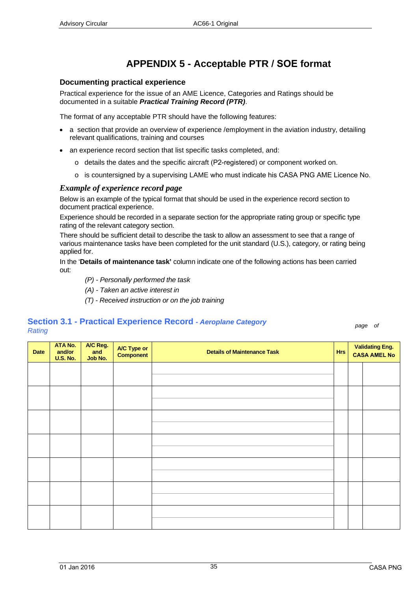## **APPENDIX 5 - Acceptable PTR / SOE format**

#### <span id="page-34-1"></span>**Documenting practical experience**

Practical experience for the issue of an AME Licence, Categories and Ratings should be documented in a suitable *Practical Training Record (PTR)*.

The format of any acceptable PTR should have the following features:

- a section that provide an overview of experience /employment in the aviation industry, detailing relevant qualifications, training and courses
- an experience record section that list specific tasks completed, and:
	- o details the dates and the specific aircraft (P2-registered) or component worked on.
	- o is countersigned by a supervising LAME who must indicate his CASA PNG AME Licence No.

#### *Example of experience record page*

Below is an example of the typical format that should be used in the experience record section to document practical experience.

Experience should be recorded in a separate section for the appropriate rating group or specific type rating of the relevant category section.

There should be sufficient detail to describe the task to allow an assessment to see that a range of various maintenance tasks have been completed for the unit standard (U.S.), category, or rating being applied for.

In the '**Details of maintenance task'** column indicate one of the following actions has been carried out:

- *(P) - Personally performed the task*
- *(A) - Taken an active interest in*
- *(T) - Received instruction or on the job training*

# **Section 3.1 - Practical Experience Record** *- Aeroplane Category Rating page of*

<span id="page-34-0"></span>

| Date | ATA No.<br>and/or<br><b>U.S. No.</b> | A/C Reg.<br>and<br>Job No. | <b>A/C Type or<br/>Component</b> | <b>Details of Maintenance Task</b> | <b>Hrs</b> |  | <b>Validating Eng.</b><br><b>CASA AMEL No</b> |  |
|------|--------------------------------------|----------------------------|----------------------------------|------------------------------------|------------|--|-----------------------------------------------|--|
|      |                                      |                            |                                  |                                    |            |  |                                               |  |
|      |                                      |                            |                                  |                                    |            |  |                                               |  |
|      |                                      |                            |                                  |                                    |            |  |                                               |  |
|      |                                      |                            |                                  |                                    |            |  |                                               |  |
|      |                                      |                            |                                  |                                    |            |  |                                               |  |
|      |                                      |                            |                                  |                                    |            |  |                                               |  |
|      |                                      |                            |                                  |                                    |            |  |                                               |  |
|      |                                      |                            |                                  |                                    |            |  |                                               |  |
|      |                                      |                            |                                  |                                    |            |  |                                               |  |
|      |                                      |                            |                                  |                                    |            |  |                                               |  |
|      |                                      |                            |                                  |                                    |            |  |                                               |  |
|      |                                      |                            |                                  |                                    |            |  |                                               |  |
|      |                                      |                            |                                  |                                    |            |  |                                               |  |
|      |                                      |                            |                                  |                                    |            |  |                                               |  |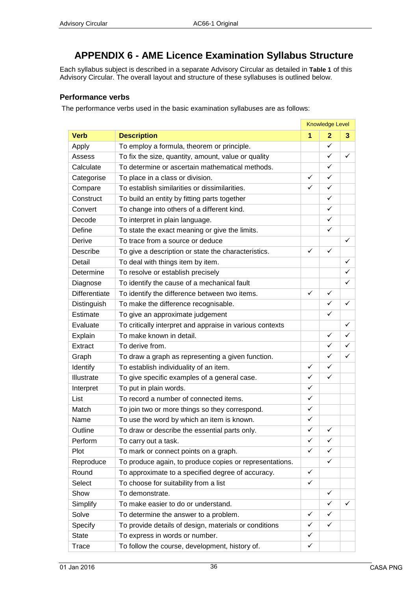## **APPENDIX 6 - AME Licence Examination Syllabus Structure**

**College** 

**Contract Contract** 

Each syllabus subject is described in a separate Advisory Circular as detailed in **[Table 1](#page-7-0)** of this Advisory Circular. The overall layout and structure of these syllabuses is outlined below.

#### **Performance verbs**

The performance verbs used in the basic examination syllabuses are as follows:

|                      |                                                          | <b>Knowledge Level</b> |                |              |
|----------------------|----------------------------------------------------------|------------------------|----------------|--------------|
| <b>Verb</b>          | <b>Description</b>                                       | 1                      | $\overline{2}$ | 3            |
| Apply                | To employ a formula, theorem or principle.               |                        | $\checkmark$   |              |
| Assess               | To fix the size, quantity, amount, value or quality      |                        | ✓              | ✓            |
| Calculate            | To determine or ascertain mathematical methods.          |                        | $\checkmark$   |              |
| Categorise           | To place in a class or division.                         | $\checkmark$           | $\checkmark$   |              |
| Compare              | To establish similarities or dissimilarities.            | ✓                      | ✓              |              |
| Construct            | To build an entity by fitting parts together             |                        | $\checkmark$   |              |
| Convert              | To change into others of a different kind.               |                        | $\checkmark$   |              |
| Decode               | To interpret in plain language.                          |                        | ✓              |              |
| Define               | To state the exact meaning or give the limits.           |                        | ✓              |              |
| Derive               | To trace from a source or deduce                         |                        |                | $\checkmark$ |
| <b>Describe</b>      | To give a description or state the characteristics.      | ✓                      | $\checkmark$   |              |
| Detail               | To deal with things item by item.                        |                        |                | $\checkmark$ |
| Determine            | To resolve or establish precisely                        |                        |                | $\checkmark$ |
| Diagnose             | To identify the cause of a mechanical fault              |                        |                | $\checkmark$ |
| <b>Differentiate</b> | To identify the difference between two items.            | ✓                      | ✓              |              |
| Distinguish          | To make the difference recognisable.                     |                        | $\checkmark$   | $\checkmark$ |
| Estimate             | To give an approximate judgement                         |                        | ✓              |              |
| Evaluate             | To critically interpret and appraise in various contexts |                        |                | $\checkmark$ |
| Explain              | To make known in detail.                                 |                        | ✓              | $\checkmark$ |
| Extract              | To derive from.                                          |                        | ✓              | $\checkmark$ |
| Graph                | To draw a graph as representing a given function.        |                        | ✓              | ✓            |
| Identify             | To establish individuality of an item.                   | $\checkmark$           | $\checkmark$   |              |
| Illustrate           | To give specific examples of a general case.             | $\checkmark$           | $\checkmark$   |              |
| Interpret            | To put in plain words.                                   | ✓                      |                |              |
| List                 | To record a number of connected items.                   | ✓                      |                |              |
| Match                | To join two or more things so they correspond.           | $\checkmark$           |                |              |
| Name                 | To use the word by which an item is known.               | ✓                      |                |              |
| Outline              | To draw or describe the essential parts only.            | $\checkmark$           | ✓              |              |
| Perform              | To carry out a task.                                     | ✓                      | ✓              |              |
| Plot                 | To mark or connect points on a graph.                    | ✓                      | ✓              |              |
| Reproduce            | To produce again, to produce copies or representations.  |                        | ✓              |              |
| Round                | To approximate to a specified degree of accuracy.        | ✓                      |                |              |
| Select               | To choose for suitability from a list                    | ✓                      |                |              |
| Show                 | To demonstrate.                                          |                        | ✓              |              |
| Simplify             | To make easier to do or understand.                      |                        | ✓              | ✓            |
| Solve                | To determine the answer to a problem.                    | ✓                      | ✓              |              |
| Specify              | To provide details of design, materials or conditions    | ✓                      | ✓              |              |
| <b>State</b>         | To express in words or number.                           | ✓                      |                |              |
| Trace                | To follow the course, development, history of.           | ✓                      |                |              |